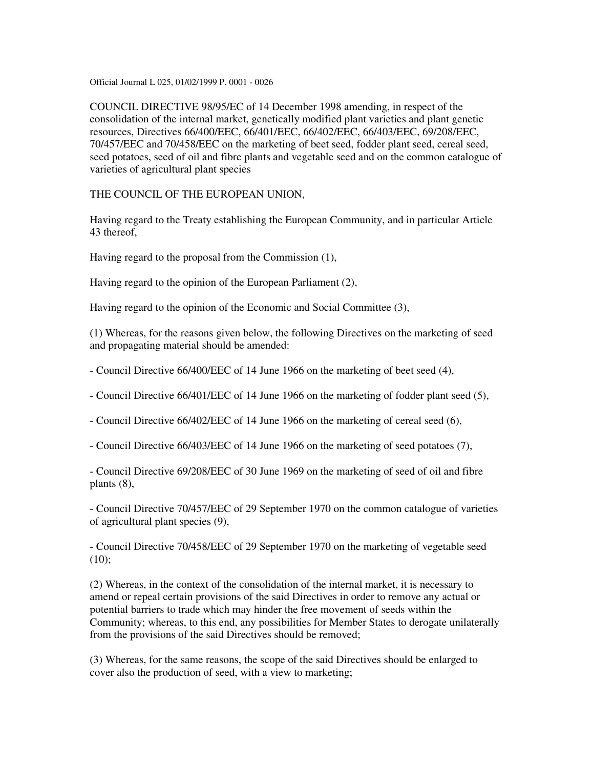Official Journal L 025, 01/02/1999 P. 0001 - 0026

COUNCIL DIRECTIVE 98/95/EC of 14 December 1998 amending, in respect of the consolidation of the internal market, genetically modified plant varieties and plant genetic resources, Directives 66/400/EEC, 66/401/EEC, 66/402/EEC, 66/403/EEC, 69/208/EEC, 70/457/EEC and 70/458/EEC on the marketing of beet seed, fodder plant seed, cereal seed, seed potatoes, seed of oil and fibre plants and vegetable seed and on the common catalogue of varieties of agricultural plant species

THE COUNCIL OF THE EUROPEAN UNION,

Having regard to the Treaty establishing the European Community, and in particular Article 43 thereof,

Having regard to the proposal from the Commission (1),

Having regard to the opinion of the European Parliament (2),

Having regard to the opinion of the Economic and Social Committee (3),

(1) Whereas, for the reasons given below, the following Directives on the marketing of seed and propagating material should be amended:

- Council Directive 66/400/EEC of 14 June 1966 on the marketing of beet seed (4),

- Council Directive 66/401/EEC of 14 June 1966 on the marketing of fodder plant seed (5),

- Council Directive 66/402/EEC of 14 June 1966 on the marketing of cereal seed (6),

- Council Directive 66/403/EEC of 14 June 1966 on the marketing of seed potatoes (7),

- Council Directive 69/208/EEC of 30 June 1969 on the marketing of seed of oil and fibre plants (8),

- Council Directive 70/457/EEC of 29 September 1970 on the common catalogue of varieties of agricultural plant species (9),

- Council Directive 70/458/EEC of 29 September 1970 on the marketing of vegetable seed  $(10);$ 

(2) Whereas, in the context of the consolidation of the internal market, it is necessary to amend or repeal certain provisions of the said Directives in order to remove any actual or potential barriers to trade which may hinder the free movement of seeds within the Community; whereas, to this end, any possibilities for Member States to derogate unilaterally from the provisions of the said Directives should be removed;

(3) Whereas, for the same reasons, the scope of the said Directives should be enlarged to cover also the production of seed, with a view to marketing;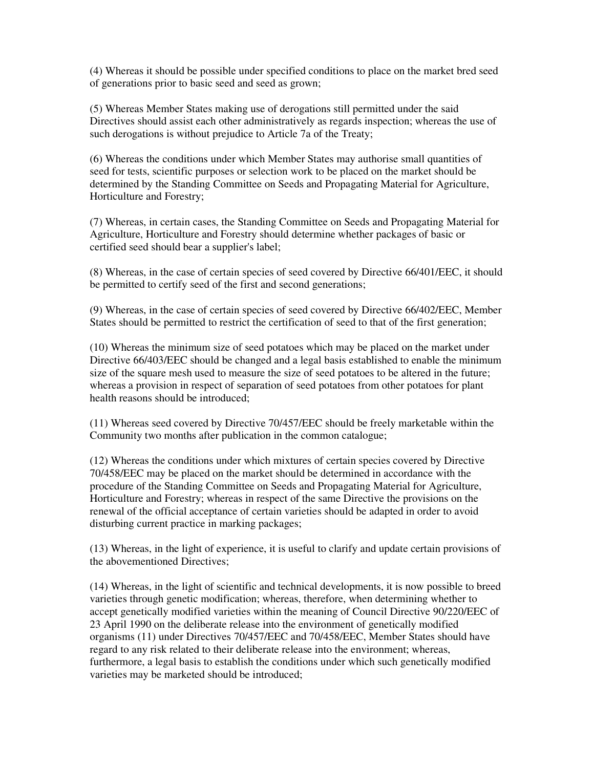(4) Whereas it should be possible under specified conditions to place on the market bred seed of generations prior to basic seed and seed as grown;

(5) Whereas Member States making use of derogations still permitted under the said Directives should assist each other administratively as regards inspection; whereas the use of such derogations is without prejudice to Article 7a of the Treaty;

(6) Whereas the conditions under which Member States may authorise small quantities of seed for tests, scientific purposes or selection work to be placed on the market should be determined by the Standing Committee on Seeds and Propagating Material for Agriculture, Horticulture and Forestry;

(7) Whereas, in certain cases, the Standing Committee on Seeds and Propagating Material for Agriculture, Horticulture and Forestry should determine whether packages of basic or certified seed should bear a supplier's label;

(8) Whereas, in the case of certain species of seed covered by Directive 66/401/EEC, it should be permitted to certify seed of the first and second generations;

(9) Whereas, in the case of certain species of seed covered by Directive 66/402/EEC, Member States should be permitted to restrict the certification of seed to that of the first generation;

(10) Whereas the minimum size of seed potatoes which may be placed on the market under Directive 66/403/EEC should be changed and a legal basis established to enable the minimum size of the square mesh used to measure the size of seed potatoes to be altered in the future; whereas a provision in respect of separation of seed potatoes from other potatoes for plant health reasons should be introduced;

(11) Whereas seed covered by Directive 70/457/EEC should be freely marketable within the Community two months after publication in the common catalogue;

(12) Whereas the conditions under which mixtures of certain species covered by Directive 70/458/EEC may be placed on the market should be determined in accordance with the procedure of the Standing Committee on Seeds and Propagating Material for Agriculture, Horticulture and Forestry; whereas in respect of the same Directive the provisions on the renewal of the official acceptance of certain varieties should be adapted in order to avoid disturbing current practice in marking packages;

(13) Whereas, in the light of experience, it is useful to clarify and update certain provisions of the abovementioned Directives;

(14) Whereas, in the light of scientific and technical developments, it is now possible to breed varieties through genetic modification; whereas, therefore, when determining whether to accept genetically modified varieties within the meaning of Council Directive 90/220/EEC of 23 April 1990 on the deliberate release into the environment of genetically modified organisms (11) under Directives 70/457/EEC and 70/458/EEC, Member States should have regard to any risk related to their deliberate release into the environment; whereas, furthermore, a legal basis to establish the conditions under which such genetically modified varieties may be marketed should be introduced;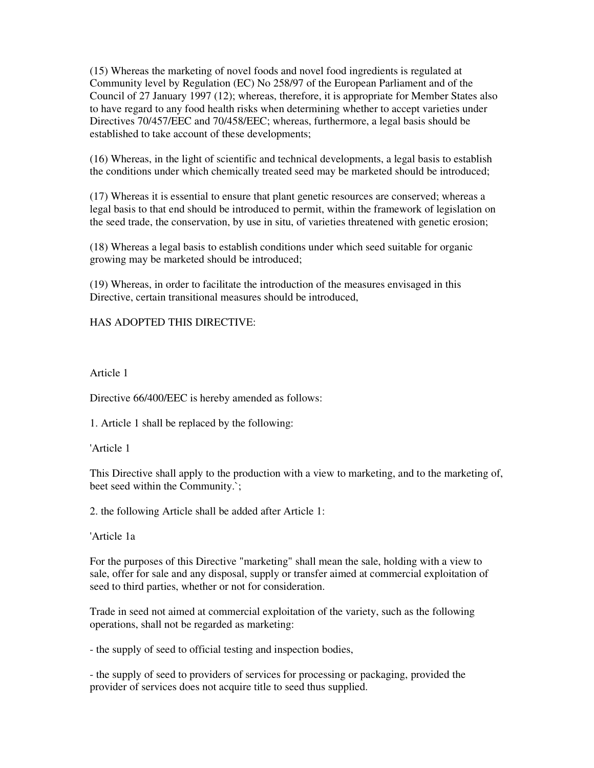(15) Whereas the marketing of novel foods and novel food ingredients is regulated at Community level by Regulation (EC) No 258/97 of the European Parliament and of the Council of 27 January 1997 (12); whereas, therefore, it is appropriate for Member States also to have regard to any food health risks when determining whether to accept varieties under Directives 70/457/EEC and 70/458/EEC; whereas, furthermore, a legal basis should be established to take account of these developments;

(16) Whereas, in the light of scientific and technical developments, a legal basis to establish the conditions under which chemically treated seed may be marketed should be introduced;

(17) Whereas it is essential to ensure that plant genetic resources are conserved; whereas a legal basis to that end should be introduced to permit, within the framework of legislation on the seed trade, the conservation, by use in situ, of varieties threatened with genetic erosion;

(18) Whereas a legal basis to establish conditions under which seed suitable for organic growing may be marketed should be introduced;

(19) Whereas, in order to facilitate the introduction of the measures envisaged in this Directive, certain transitional measures should be introduced,

HAS ADOPTED THIS DIRECTIVE:

Article 1

Directive 66/400/EEC is hereby amended as follows:

1. Article 1 shall be replaced by the following:

'Article 1

This Directive shall apply to the production with a view to marketing, and to the marketing of, beet seed within the Community.`;

2. the following Article shall be added after Article 1:

'Article 1a

For the purposes of this Directive "marketing" shall mean the sale, holding with a view to sale, offer for sale and any disposal, supply or transfer aimed at commercial exploitation of seed to third parties, whether or not for consideration.

Trade in seed not aimed at commercial exploitation of the variety, such as the following operations, shall not be regarded as marketing:

- the supply of seed to official testing and inspection bodies,

- the supply of seed to providers of services for processing or packaging, provided the provider of services does not acquire title to seed thus supplied.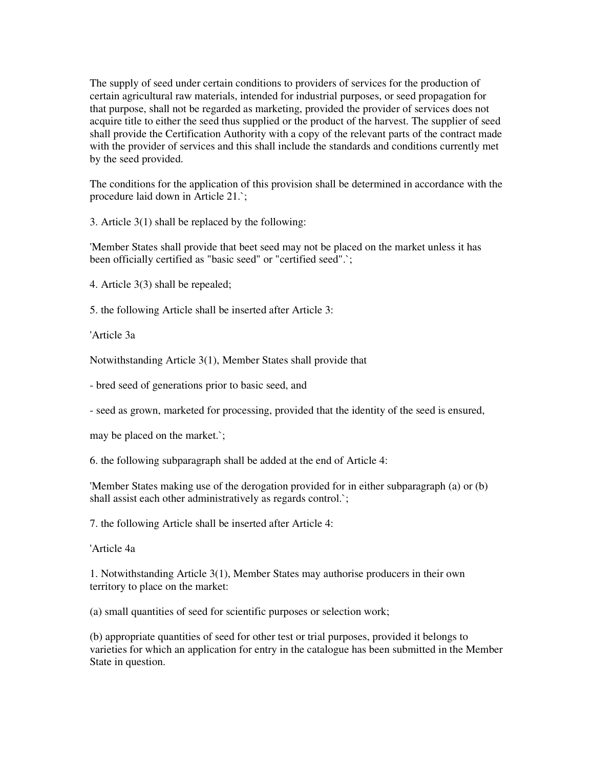The supply of seed under certain conditions to providers of services for the production of certain agricultural raw materials, intended for industrial purposes, or seed propagation for that purpose, shall not be regarded as marketing, provided the provider of services does not acquire title to either the seed thus supplied or the product of the harvest. The supplier of seed shall provide the Certification Authority with a copy of the relevant parts of the contract made with the provider of services and this shall include the standards and conditions currently met by the seed provided.

The conditions for the application of this provision shall be determined in accordance with the procedure laid down in Article 21.`;

3. Article 3(1) shall be replaced by the following:

'Member States shall provide that beet seed may not be placed on the market unless it has been officially certified as "basic seed" or "certified seed".`;

4. Article 3(3) shall be repealed;

5. the following Article shall be inserted after Article 3:

'Article 3a

Notwithstanding Article 3(1), Member States shall provide that

- bred seed of generations prior to basic seed, and

- seed as grown, marketed for processing, provided that the identity of the seed is ensured,

may be placed on the market.`;

6. the following subparagraph shall be added at the end of Article 4:

'Member States making use of the derogation provided for in either subparagraph (a) or (b) shall assist each other administratively as regards control.;

7. the following Article shall be inserted after Article 4:

'Article 4a

1. Notwithstanding Article 3(1), Member States may authorise producers in their own territory to place on the market:

(a) small quantities of seed for scientific purposes or selection work;

(b) appropriate quantities of seed for other test or trial purposes, provided it belongs to varieties for which an application for entry in the catalogue has been submitted in the Member State in question.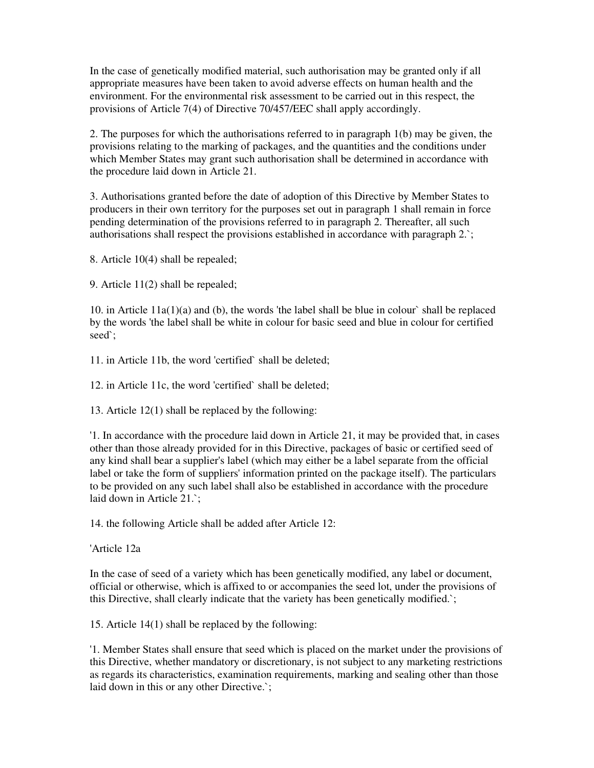In the case of genetically modified material, such authorisation may be granted only if all appropriate measures have been taken to avoid adverse effects on human health and the environment. For the environmental risk assessment to be carried out in this respect, the provisions of Article 7(4) of Directive 70/457/EEC shall apply accordingly.

2. The purposes for which the authorisations referred to in paragraph 1(b) may be given, the provisions relating to the marking of packages, and the quantities and the conditions under which Member States may grant such authorisation shall be determined in accordance with the procedure laid down in Article 21.

3. Authorisations granted before the date of adoption of this Directive by Member States to producers in their own territory for the purposes set out in paragraph 1 shall remain in force pending determination of the provisions referred to in paragraph 2. Thereafter, all such authorisations shall respect the provisions established in accordance with paragraph 2.`;

8. Article 10(4) shall be repealed;

9. Article 11(2) shall be repealed;

10. in Article 11a(1)(a) and (b), the words 'the label shall be blue in colour` shall be replaced by the words 'the label shall be white in colour for basic seed and blue in colour for certified seed`;

11. in Article 11b, the word 'certified` shall be deleted;

12. in Article 11c, the word 'certified` shall be deleted;

13. Article 12(1) shall be replaced by the following:

'1. In accordance with the procedure laid down in Article 21, it may be provided that, in cases other than those already provided for in this Directive, packages of basic or certified seed of any kind shall bear a supplier's label (which may either be a label separate from the official label or take the form of suppliers' information printed on the package itself). The particulars to be provided on any such label shall also be established in accordance with the procedure laid down in Article 21.`;

14. the following Article shall be added after Article 12:

'Article 12a

In the case of seed of a variety which has been genetically modified, any label or document, official or otherwise, which is affixed to or accompanies the seed lot, under the provisions of this Directive, shall clearly indicate that the variety has been genetically modified.`;

15. Article 14(1) shall be replaced by the following:

'1. Member States shall ensure that seed which is placed on the market under the provisions of this Directive, whether mandatory or discretionary, is not subject to any marketing restrictions as regards its characteristics, examination requirements, marking and sealing other than those laid down in this or any other Directive.`;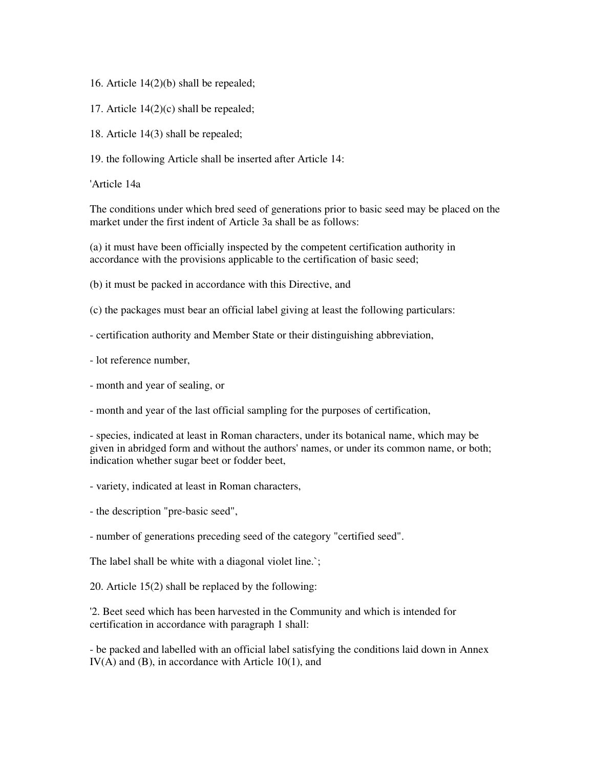- 16. Article 14(2)(b) shall be repealed;
- 17. Article 14(2)(c) shall be repealed;
- 18. Article 14(3) shall be repealed;
- 19. the following Article shall be inserted after Article 14:

'Article 14a

The conditions under which bred seed of generations prior to basic seed may be placed on the market under the first indent of Article 3a shall be as follows:

(a) it must have been officially inspected by the competent certification authority in accordance with the provisions applicable to the certification of basic seed;

(b) it must be packed in accordance with this Directive, and

- (c) the packages must bear an official label giving at least the following particulars:
- certification authority and Member State or their distinguishing abbreviation,
- lot reference number,
- month and year of sealing, or
- month and year of the last official sampling for the purposes of certification,

- species, indicated at least in Roman characters, under its botanical name, which may be given in abridged form and without the authors' names, or under its common name, or both; indication whether sugar beet or fodder beet,

- variety, indicated at least in Roman characters,

- the description "pre-basic seed",
- number of generations preceding seed of the category "certified seed".

The label shall be white with a diagonal violet line.`;

20. Article 15(2) shall be replaced by the following:

'2. Beet seed which has been harvested in the Community and which is intended for certification in accordance with paragraph 1 shall:

- be packed and labelled with an official label satisfying the conditions laid down in Annex IV(A) and (B), in accordance with Article 10(1), and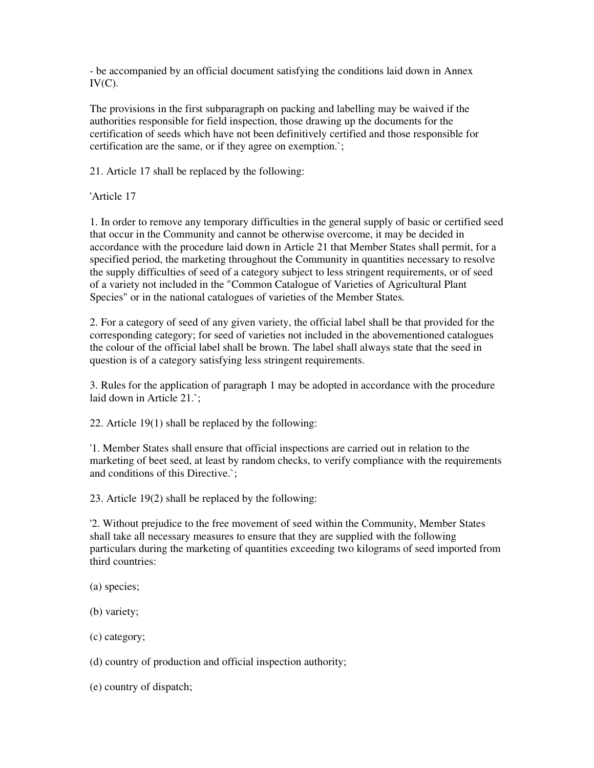- be accompanied by an official document satisfying the conditions laid down in Annex  $IV(C)$ .

The provisions in the first subparagraph on packing and labelling may be waived if the authorities responsible for field inspection, those drawing up the documents for the certification of seeds which have not been definitively certified and those responsible for certification are the same, or if they agree on exemption.`;

21. Article 17 shall be replaced by the following:

'Article 17

1. In order to remove any temporary difficulties in the general supply of basic or certified seed that occur in the Community and cannot be otherwise overcome, it may be decided in accordance with the procedure laid down in Article 21 that Member States shall permit, for a specified period, the marketing throughout the Community in quantities necessary to resolve the supply difficulties of seed of a category subject to less stringent requirements, or of seed of a variety not included in the "Common Catalogue of Varieties of Agricultural Plant Species" or in the national catalogues of varieties of the Member States.

2. For a category of seed of any given variety, the official label shall be that provided for the corresponding category; for seed of varieties not included in the abovementioned catalogues the colour of the official label shall be brown. The label shall always state that the seed in question is of a category satisfying less stringent requirements.

3. Rules for the application of paragraph 1 may be adopted in accordance with the procedure laid down in Article 21.`;

22. Article 19(1) shall be replaced by the following:

'1. Member States shall ensure that official inspections are carried out in relation to the marketing of beet seed, at least by random checks, to verify compliance with the requirements and conditions of this Directive.`;

23. Article 19(2) shall be replaced by the following:

'2. Without prejudice to the free movement of seed within the Community, Member States shall take all necessary measures to ensure that they are supplied with the following particulars during the marketing of quantities exceeding two kilograms of seed imported from third countries:

(a) species;

(b) variety;

(c) category;

(d) country of production and official inspection authority;

(e) country of dispatch;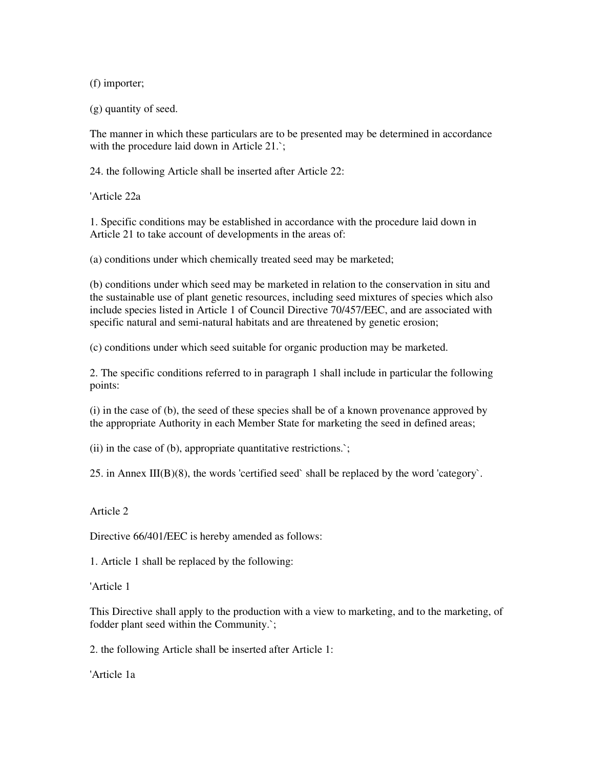(f) importer;

(g) quantity of seed.

The manner in which these particulars are to be presented may be determined in accordance with the procedure laid down in Article 21.`;

24. the following Article shall be inserted after Article 22:

'Article 22a

1. Specific conditions may be established in accordance with the procedure laid down in Article 21 to take account of developments in the areas of:

(a) conditions under which chemically treated seed may be marketed;

(b) conditions under which seed may be marketed in relation to the conservation in situ and the sustainable use of plant genetic resources, including seed mixtures of species which also include species listed in Article 1 of Council Directive 70/457/EEC, and are associated with specific natural and semi-natural habitats and are threatened by genetic erosion;

(c) conditions under which seed suitable for organic production may be marketed.

2. The specific conditions referred to in paragraph 1 shall include in particular the following points:

(i) in the case of (b), the seed of these species shall be of a known provenance approved by the appropriate Authority in each Member State for marketing the seed in defined areas;

(ii) in the case of (b), appropriate quantitative restrictions.`;

25. in Annex III(B)(8), the words 'certified seed` shall be replaced by the word 'category`.

# Article 2

Directive 66/401/EEC is hereby amended as follows:

1. Article 1 shall be replaced by the following:

'Article 1

This Directive shall apply to the production with a view to marketing, and to the marketing, of fodder plant seed within the Community.`;

2. the following Article shall be inserted after Article 1:

'Article 1a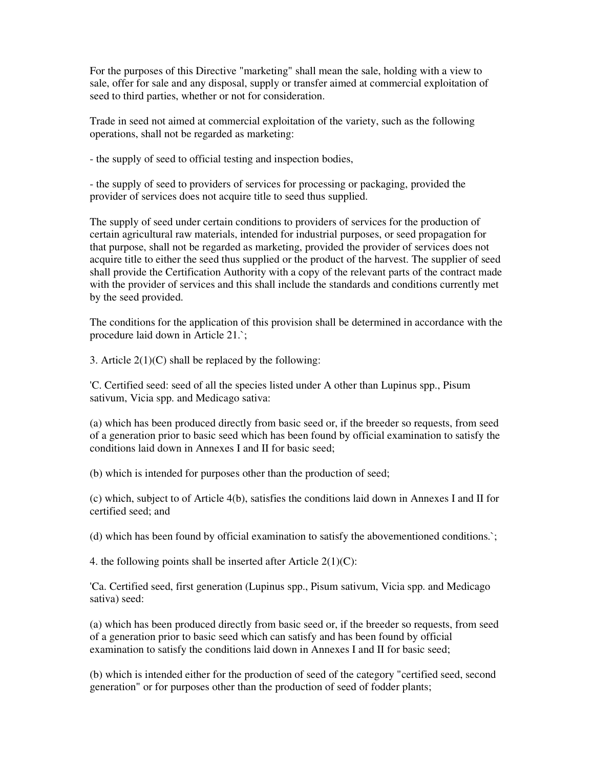For the purposes of this Directive "marketing" shall mean the sale, holding with a view to sale, offer for sale and any disposal, supply or transfer aimed at commercial exploitation of seed to third parties, whether or not for consideration.

Trade in seed not aimed at commercial exploitation of the variety, such as the following operations, shall not be regarded as marketing:

- the supply of seed to official testing and inspection bodies,

- the supply of seed to providers of services for processing or packaging, provided the provider of services does not acquire title to seed thus supplied.

The supply of seed under certain conditions to providers of services for the production of certain agricultural raw materials, intended for industrial purposes, or seed propagation for that purpose, shall not be regarded as marketing, provided the provider of services does not acquire title to either the seed thus supplied or the product of the harvest. The supplier of seed shall provide the Certification Authority with a copy of the relevant parts of the contract made with the provider of services and this shall include the standards and conditions currently met by the seed provided.

The conditions for the application of this provision shall be determined in accordance with the procedure laid down in Article 21.`;

3. Article  $2(1)(C)$  shall be replaced by the following:

'C. Certified seed: seed of all the species listed under A other than Lupinus spp., Pisum sativum, Vicia spp. and Medicago sativa:

(a) which has been produced directly from basic seed or, if the breeder so requests, from seed of a generation prior to basic seed which has been found by official examination to satisfy the conditions laid down in Annexes I and II for basic seed;

(b) which is intended for purposes other than the production of seed;

(c) which, subject to of Article 4(b), satisfies the conditions laid down in Annexes I and II for certified seed; and

(d) which has been found by official examination to satisfy the abovementioned conditions.`;

4. the following points shall be inserted after Article  $2(1)(C)$ :

'Ca. Certified seed, first generation (Lupinus spp., Pisum sativum, Vicia spp. and Medicago sativa) seed:

(a) which has been produced directly from basic seed or, if the breeder so requests, from seed of a generation prior to basic seed which can satisfy and has been found by official examination to satisfy the conditions laid down in Annexes I and II for basic seed;

(b) which is intended either for the production of seed of the category "certified seed, second generation" or for purposes other than the production of seed of fodder plants;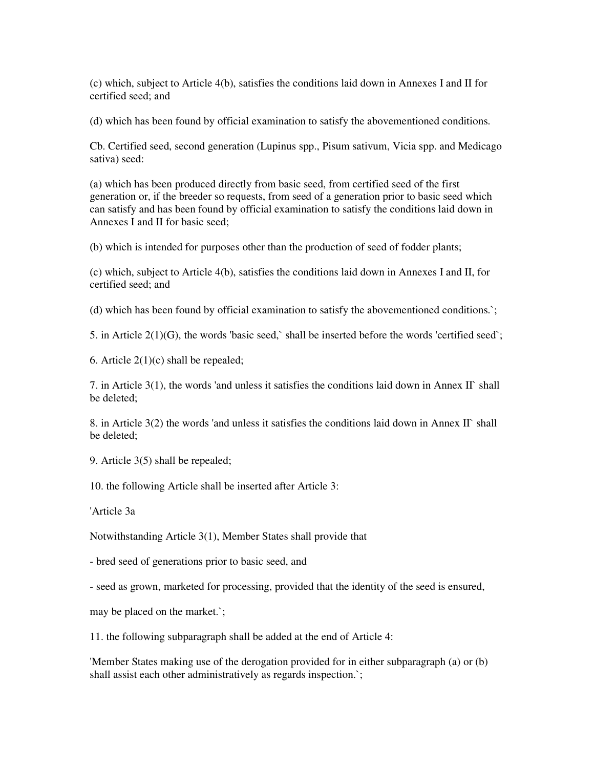(c) which, subject to Article 4(b), satisfies the conditions laid down in Annexes I and II for certified seed; and

(d) which has been found by official examination to satisfy the abovementioned conditions.

Cb. Certified seed, second generation (Lupinus spp., Pisum sativum, Vicia spp. and Medicago sativa) seed:

(a) which has been produced directly from basic seed, from certified seed of the first generation or, if the breeder so requests, from seed of a generation prior to basic seed which can satisfy and has been found by official examination to satisfy the conditions laid down in Annexes I and II for basic seed;

(b) which is intended for purposes other than the production of seed of fodder plants;

(c) which, subject to Article 4(b), satisfies the conditions laid down in Annexes I and II, for certified seed; and

(d) which has been found by official examination to satisfy the abovementioned conditions.`;

5. in Article 2(1)(G), the words 'basic seed,` shall be inserted before the words 'certified seed`;

6. Article  $2(1)(c)$  shall be repealed;

7. in Article  $3(1)$ , the words 'and unless it satisfies the conditions laid down in Annex II` shall be deleted;

8. in Article  $3(2)$  the words 'and unless it satisfies the conditions laid down in Annex II` shall be deleted;

9. Article 3(5) shall be repealed;

10. the following Article shall be inserted after Article 3:

'Article 3a

Notwithstanding Article 3(1), Member States shall provide that

- bred seed of generations prior to basic seed, and

- seed as grown, marketed for processing, provided that the identity of the seed is ensured,

may be placed on the market.`;

11. the following subparagraph shall be added at the end of Article 4:

'Member States making use of the derogation provided for in either subparagraph (a) or (b) shall assist each other administratively as regards inspection.`;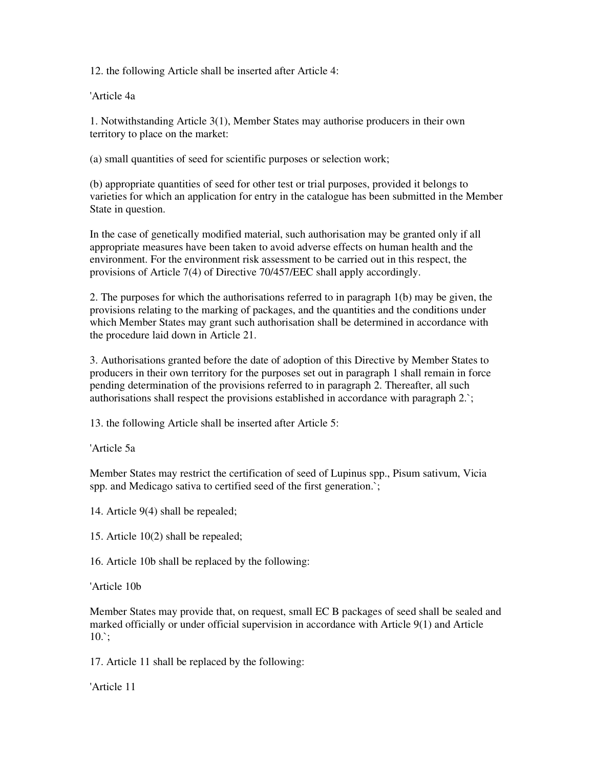12. the following Article shall be inserted after Article 4:

'Article 4a

1. Notwithstanding Article 3(1), Member States may authorise producers in their own territory to place on the market:

(a) small quantities of seed for scientific purposes or selection work;

(b) appropriate quantities of seed for other test or trial purposes, provided it belongs to varieties for which an application for entry in the catalogue has been submitted in the Member State in question.

In the case of genetically modified material, such authorisation may be granted only if all appropriate measures have been taken to avoid adverse effects on human health and the environment. For the environment risk assessment to be carried out in this respect, the provisions of Article 7(4) of Directive 70/457/EEC shall apply accordingly.

2. The purposes for which the authorisations referred to in paragraph 1(b) may be given, the provisions relating to the marking of packages, and the quantities and the conditions under which Member States may grant such authorisation shall be determined in accordance with the procedure laid down in Article 21.

3. Authorisations granted before the date of adoption of this Directive by Member States to producers in their own territory for the purposes set out in paragraph 1 shall remain in force pending determination of the provisions referred to in paragraph 2. Thereafter, all such authorisations shall respect the provisions established in accordance with paragraph 2.`;

13. the following Article shall be inserted after Article 5:

'Article 5a

Member States may restrict the certification of seed of Lupinus spp., Pisum sativum, Vicia spp. and Medicago sativa to certified seed of the first generation.`;

14. Article 9(4) shall be repealed;

15. Article 10(2) shall be repealed;

16. Article 10b shall be replaced by the following:

'Article 10b

Member States may provide that, on request, small EC B packages of seed shall be sealed and marked officially or under official supervision in accordance with Article 9(1) and Article  $10.$ ;

17. Article 11 shall be replaced by the following:

'Article 11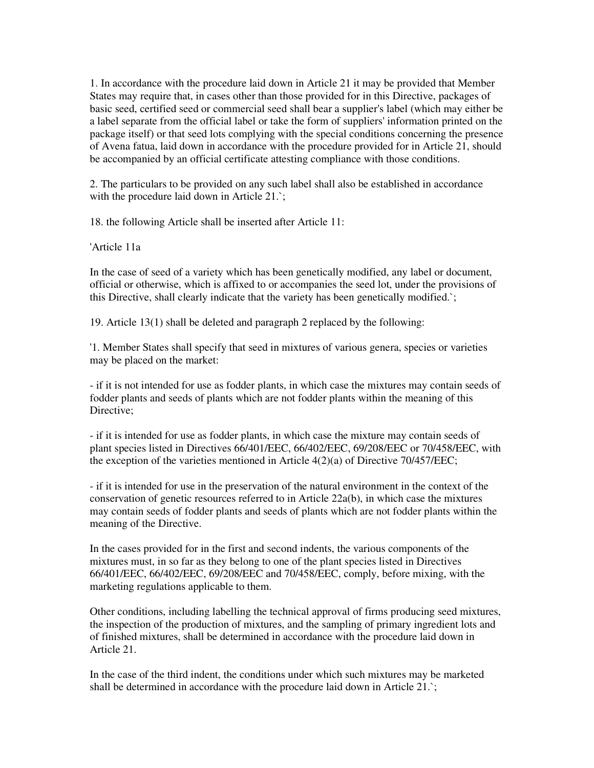1. In accordance with the procedure laid down in Article 21 it may be provided that Member States may require that, in cases other than those provided for in this Directive, packages of basic seed, certified seed or commercial seed shall bear a supplier's label (which may either be a label separate from the official label or take the form of suppliers' information printed on the package itself) or that seed lots complying with the special conditions concerning the presence of Avena fatua, laid down in accordance with the procedure provided for in Article 21, should be accompanied by an official certificate attesting compliance with those conditions.

2. The particulars to be provided on any such label shall also be established in accordance with the procedure laid down in Article 21.`;

18. the following Article shall be inserted after Article 11:

'Article 11a

In the case of seed of a variety which has been genetically modified, any label or document, official or otherwise, which is affixed to or accompanies the seed lot, under the provisions of this Directive, shall clearly indicate that the variety has been genetically modified.`;

19. Article 13(1) shall be deleted and paragraph 2 replaced by the following:

'1. Member States shall specify that seed in mixtures of various genera, species or varieties may be placed on the market:

- if it is not intended for use as fodder plants, in which case the mixtures may contain seeds of fodder plants and seeds of plants which are not fodder plants within the meaning of this Directive:

- if it is intended for use as fodder plants, in which case the mixture may contain seeds of plant species listed in Directives 66/401/EEC, 66/402/EEC, 69/208/EEC or 70/458/EEC, with the exception of the varieties mentioned in Article 4(2)(a) of Directive 70/457/EEC;

- if it is intended for use in the preservation of the natural environment in the context of the conservation of genetic resources referred to in Article 22a(b), in which case the mixtures may contain seeds of fodder plants and seeds of plants which are not fodder plants within the meaning of the Directive.

In the cases provided for in the first and second indents, the various components of the mixtures must, in so far as they belong to one of the plant species listed in Directives 66/401/EEC, 66/402/EEC, 69/208/EEC and 70/458/EEC, comply, before mixing, with the marketing regulations applicable to them.

Other conditions, including labelling the technical approval of firms producing seed mixtures, the inspection of the production of mixtures, and the sampling of primary ingredient lots and of finished mixtures, shall be determined in accordance with the procedure laid down in Article 21.

In the case of the third indent, the conditions under which such mixtures may be marketed shall be determined in accordance with the procedure laid down in Article 21.`;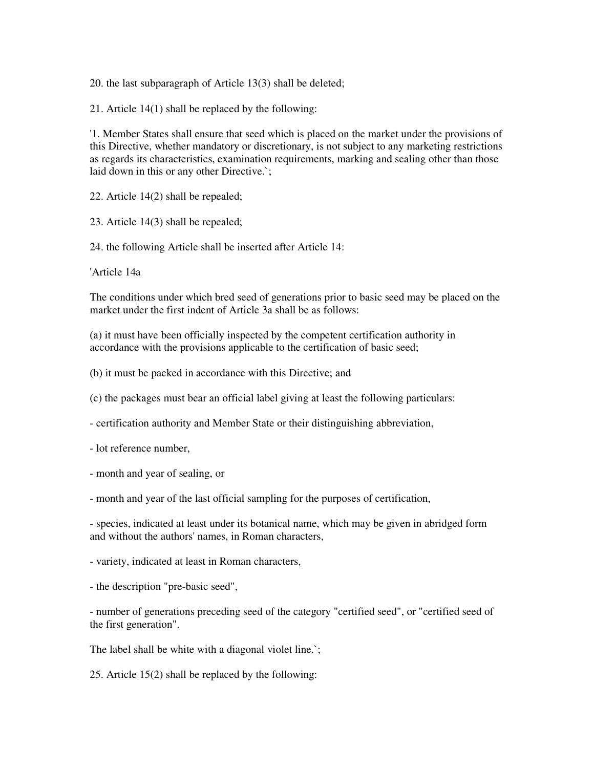20. the last subparagraph of Article 13(3) shall be deleted;

21. Article 14(1) shall be replaced by the following:

'1. Member States shall ensure that seed which is placed on the market under the provisions of this Directive, whether mandatory or discretionary, is not subject to any marketing restrictions as regards its characteristics, examination requirements, marking and sealing other than those laid down in this or any other Directive.`;

22. Article 14(2) shall be repealed;

23. Article 14(3) shall be repealed;

24. the following Article shall be inserted after Article 14:

'Article 14a

The conditions under which bred seed of generations prior to basic seed may be placed on the market under the first indent of Article 3a shall be as follows:

(a) it must have been officially inspected by the competent certification authority in accordance with the provisions applicable to the certification of basic seed;

(b) it must be packed in accordance with this Directive; and

(c) the packages must bear an official label giving at least the following particulars:

- certification authority and Member State or their distinguishing abbreviation,

- lot reference number,

- month and year of sealing, or

- month and year of the last official sampling for the purposes of certification,

- species, indicated at least under its botanical name, which may be given in abridged form and without the authors' names, in Roman characters,

- variety, indicated at least in Roman characters,

- the description "pre-basic seed",

- number of generations preceding seed of the category "certified seed", or "certified seed of the first generation".

The label shall be white with a diagonal violet line.`;

25. Article 15(2) shall be replaced by the following: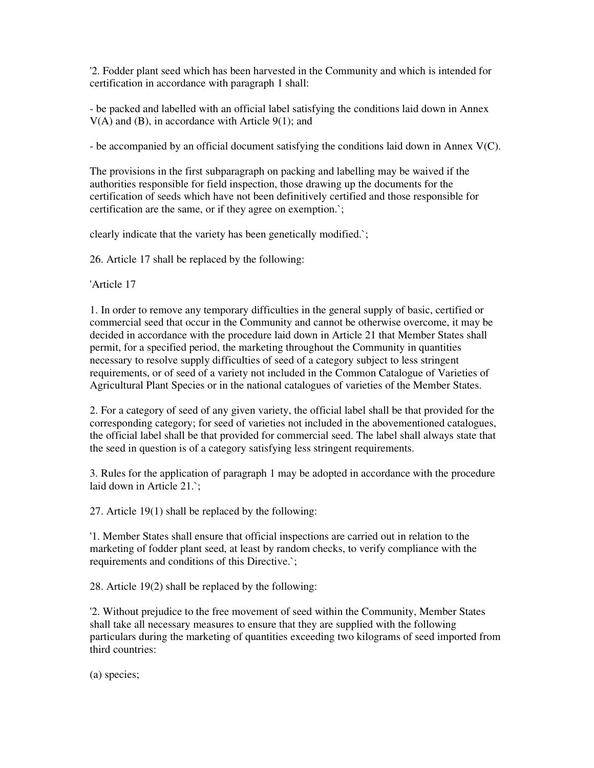'2. Fodder plant seed which has been harvested in the Community and which is intended for certification in accordance with paragraph 1 shall:

- be packed and labelled with an official label satisfying the conditions laid down in Annex  $V(A)$  and (B), in accordance with Article 9(1); and

- be accompanied by an official document satisfying the conditions laid down in Annex V(C).

The provisions in the first subparagraph on packing and labelling may be waived if the authorities responsible for field inspection, those drawing up the documents for the certification of seeds which have not been definitively certified and those responsible for certification are the same, or if they agree on exemption.`;

clearly indicate that the variety has been genetically modified.`;

26. Article 17 shall be replaced by the following:

'Article 17

1. In order to remove any temporary difficulties in the general supply of basic, certified or commercial seed that occur in the Community and cannot be otherwise overcome, it may be decided in accordance with the procedure laid down in Article 21 that Member States shall permit, for a specified period, the marketing throughout the Community in quantities necessary to resolve supply difficulties of seed of a category subject to less stringent requirements, or of seed of a variety not included in the Common Catalogue of Varieties of Agricultural Plant Species or in the national catalogues of varieties of the Member States.

2. For a category of seed of any given variety, the official label shall be that provided for the corresponding category; for seed of varieties not included in the abovementioned catalogues, the official label shall be that provided for commercial seed. The label shall always state that the seed in question is of a category satisfying less stringent requirements.

3. Rules for the application of paragraph 1 may be adopted in accordance with the procedure laid down in Article 21.`;

27. Article 19(1) shall be replaced by the following:

'1. Member States shall ensure that official inspections are carried out in relation to the marketing of fodder plant seed, at least by random checks, to verify compliance with the requirements and conditions of this Directive.`;

28. Article 19(2) shall be replaced by the following:

'2. Without prejudice to the free movement of seed within the Community, Member States shall take all necessary measures to ensure that they are supplied with the following particulars during the marketing of quantities exceeding two kilograms of seed imported from third countries:

(a) species;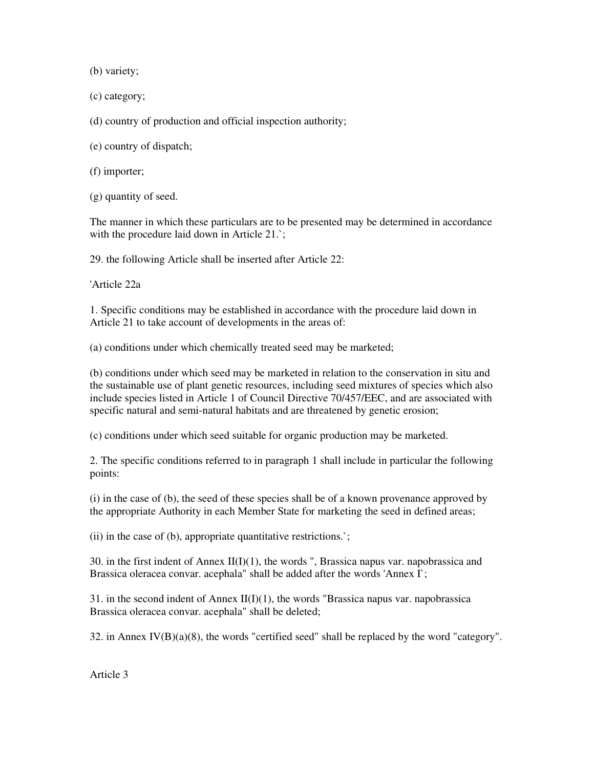(b) variety;

(c) category;

(d) country of production and official inspection authority;

(e) country of dispatch;

(f) importer;

(g) quantity of seed.

The manner in which these particulars are to be presented may be determined in accordance with the procedure laid down in Article 21.`;

29. the following Article shall be inserted after Article 22:

'Article 22a

1. Specific conditions may be established in accordance with the procedure laid down in Article 21 to take account of developments in the areas of:

(a) conditions under which chemically treated seed may be marketed;

(b) conditions under which seed may be marketed in relation to the conservation in situ and the sustainable use of plant genetic resources, including seed mixtures of species which also include species listed in Article 1 of Council Directive 70/457/EEC, and are associated with specific natural and semi-natural habitats and are threatened by genetic erosion;

(c) conditions under which seed suitable for organic production may be marketed.

2. The specific conditions referred to in paragraph 1 shall include in particular the following points:

(i) in the case of (b), the seed of these species shall be of a known provenance approved by the appropriate Authority in each Member State for marketing the seed in defined areas;

(ii) in the case of (b), appropriate quantitative restrictions.`;

30. in the first indent of Annex II(I)(1), the words ", Brassica napus var. napobrassica and Brassica oleracea convar. acephala" shall be added after the words 'Annex I`;

31. in the second indent of Annex  $II(I)(1)$ , the words "Brassica napus var. napobrassica Brassica oleracea convar. acephala" shall be deleted;

32. in Annex IV(B)(a)(8), the words "certified seed" shall be replaced by the word "category".

Article 3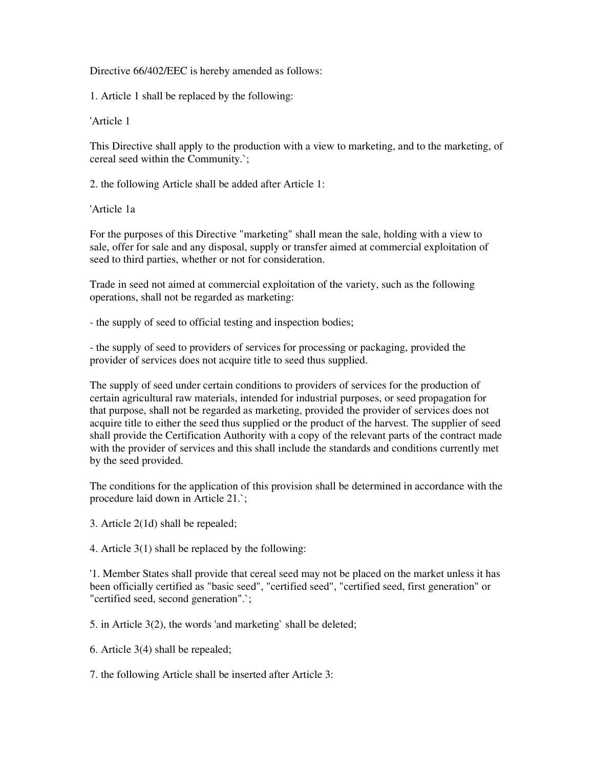## Directive 66/402/EEC is hereby amended as follows:

1. Article 1 shall be replaced by the following:

'Article 1

This Directive shall apply to the production with a view to marketing, and to the marketing, of cereal seed within the Community.`;

2. the following Article shall be added after Article 1:

'Article 1a

For the purposes of this Directive "marketing" shall mean the sale, holding with a view to sale, offer for sale and any disposal, supply or transfer aimed at commercial exploitation of seed to third parties, whether or not for consideration.

Trade in seed not aimed at commercial exploitation of the variety, such as the following operations, shall not be regarded as marketing:

- the supply of seed to official testing and inspection bodies;

- the supply of seed to providers of services for processing or packaging, provided the provider of services does not acquire title to seed thus supplied.

The supply of seed under certain conditions to providers of services for the production of certain agricultural raw materials, intended for industrial purposes, or seed propagation for that purpose, shall not be regarded as marketing, provided the provider of services does not acquire title to either the seed thus supplied or the product of the harvest. The supplier of seed shall provide the Certification Authority with a copy of the relevant parts of the contract made with the provider of services and this shall include the standards and conditions currently met by the seed provided.

The conditions for the application of this provision shall be determined in accordance with the procedure laid down in Article 21.`;

3. Article 2(1d) shall be repealed;

4. Article 3(1) shall be replaced by the following:

'1. Member States shall provide that cereal seed may not be placed on the market unless it has been officially certified as "basic seed", "certified seed", "certified seed, first generation" or "certified seed, second generation".`;

5. in Article 3(2), the words 'and marketing` shall be deleted;

6. Article 3(4) shall be repealed;

7. the following Article shall be inserted after Article 3: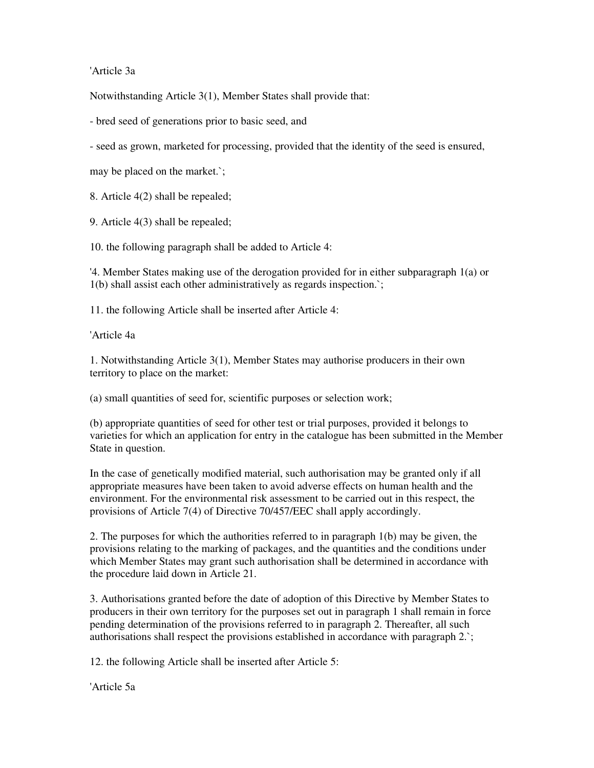'Article 3a

Notwithstanding Article 3(1), Member States shall provide that:

- bred seed of generations prior to basic seed, and

- seed as grown, marketed for processing, provided that the identity of the seed is ensured,

may be placed on the market.`;

8. Article 4(2) shall be repealed;

9. Article 4(3) shall be repealed;

10. the following paragraph shall be added to Article 4:

'4. Member States making use of the derogation provided for in either subparagraph 1(a) or 1(b) shall assist each other administratively as regards inspection.`;

11. the following Article shall be inserted after Article 4:

'Article 4a

1. Notwithstanding Article 3(1), Member States may authorise producers in their own territory to place on the market:

(a) small quantities of seed for, scientific purposes or selection work;

(b) appropriate quantities of seed for other test or trial purposes, provided it belongs to varieties for which an application for entry in the catalogue has been submitted in the Member State in question.

In the case of genetically modified material, such authorisation may be granted only if all appropriate measures have been taken to avoid adverse effects on human health and the environment. For the environmental risk assessment to be carried out in this respect, the provisions of Article 7(4) of Directive 70/457/EEC shall apply accordingly.

2. The purposes for which the authorities referred to in paragraph 1(b) may be given, the provisions relating to the marking of packages, and the quantities and the conditions under which Member States may grant such authorisation shall be determined in accordance with the procedure laid down in Article 21.

3. Authorisations granted before the date of adoption of this Directive by Member States to producers in their own territory for the purposes set out in paragraph 1 shall remain in force pending determination of the provisions referred to in paragraph 2. Thereafter, all such authorisations shall respect the provisions established in accordance with paragraph 2.`;

12. the following Article shall be inserted after Article 5:

'Article 5a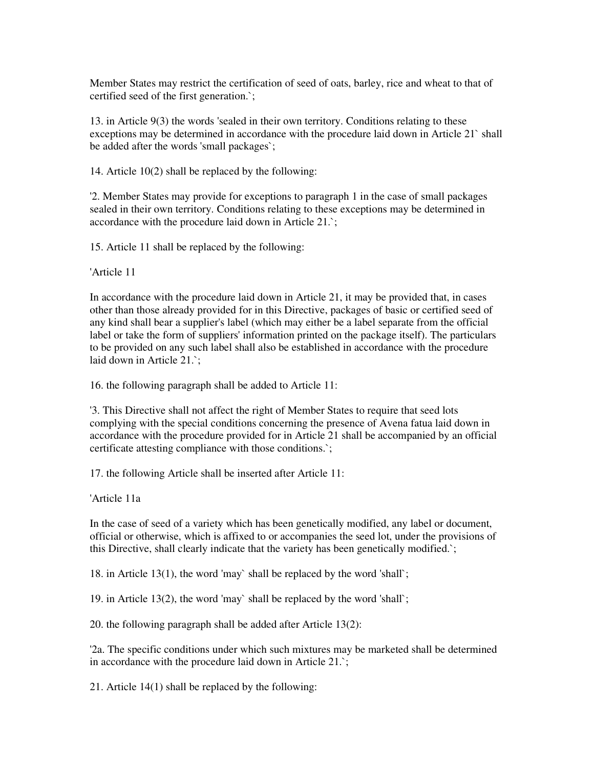Member States may restrict the certification of seed of oats, barley, rice and wheat to that of certified seed of the first generation.`;

13. in Article 9(3) the words 'sealed in their own territory. Conditions relating to these exceptions may be determined in accordance with the procedure laid down in Article 21` shall be added after the words 'small packages`;

14. Article 10(2) shall be replaced by the following:

'2. Member States may provide for exceptions to paragraph 1 in the case of small packages sealed in their own territory. Conditions relating to these exceptions may be determined in accordance with the procedure laid down in Article 21.`;

15. Article 11 shall be replaced by the following:

'Article 11

In accordance with the procedure laid down in Article 21, it may be provided that, in cases other than those already provided for in this Directive, packages of basic or certified seed of any kind shall bear a supplier's label (which may either be a label separate from the official label or take the form of suppliers' information printed on the package itself). The particulars to be provided on any such label shall also be established in accordance with the procedure laid down in Article 21.`;

16. the following paragraph shall be added to Article 11:

'3. This Directive shall not affect the right of Member States to require that seed lots complying with the special conditions concerning the presence of Avena fatua laid down in accordance with the procedure provided for in Article 21 shall be accompanied by an official certificate attesting compliance with those conditions.`;

17. the following Article shall be inserted after Article 11:

'Article 11a

In the case of seed of a variety which has been genetically modified, any label or document, official or otherwise, which is affixed to or accompanies the seed lot, under the provisions of this Directive, shall clearly indicate that the variety has been genetically modified.`;

18. in Article 13(1), the word 'may` shall be replaced by the word 'shall`;

19. in Article 13(2), the word 'may` shall be replaced by the word 'shall`;

20. the following paragraph shall be added after Article 13(2):

'2a. The specific conditions under which such mixtures may be marketed shall be determined in accordance with the procedure laid down in Article 21.`;

21. Article 14(1) shall be replaced by the following: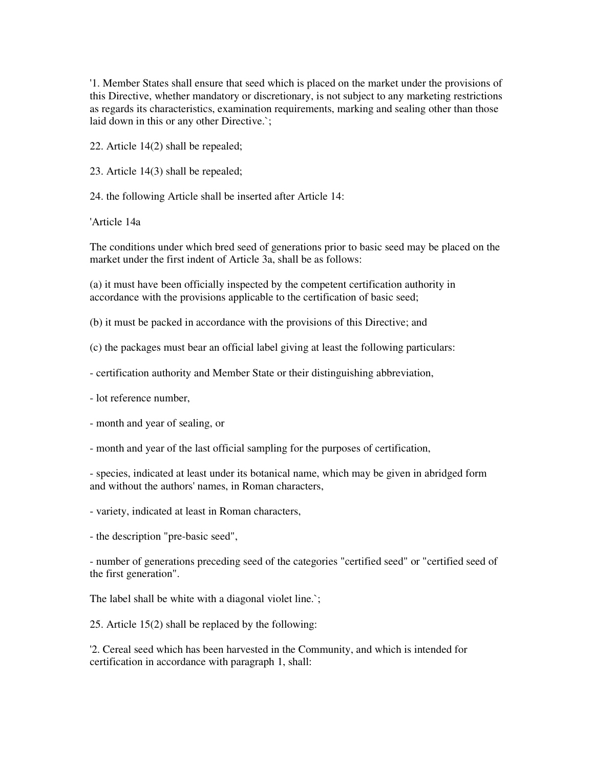'1. Member States shall ensure that seed which is placed on the market under the provisions of this Directive, whether mandatory or discretionary, is not subject to any marketing restrictions as regards its characteristics, examination requirements, marking and sealing other than those laid down in this or any other Directive.`;

22. Article 14(2) shall be repealed;

23. Article 14(3) shall be repealed;

24. the following Article shall be inserted after Article 14:

'Article 14a

The conditions under which bred seed of generations prior to basic seed may be placed on the market under the first indent of Article 3a, shall be as follows:

(a) it must have been officially inspected by the competent certification authority in accordance with the provisions applicable to the certification of basic seed;

(b) it must be packed in accordance with the provisions of this Directive; and

(c) the packages must bear an official label giving at least the following particulars:

- certification authority and Member State or their distinguishing abbreviation,

- lot reference number,

- month and year of sealing, or

- month and year of the last official sampling for the purposes of certification,

- species, indicated at least under its botanical name, which may be given in abridged form and without the authors' names, in Roman characters,

- variety, indicated at least in Roman characters,

- the description "pre-basic seed",

- number of generations preceding seed of the categories "certified seed" or "certified seed of the first generation".

The label shall be white with a diagonal violet line.

25. Article 15(2) shall be replaced by the following:

'2. Cereal seed which has been harvested in the Community, and which is intended for certification in accordance with paragraph 1, shall: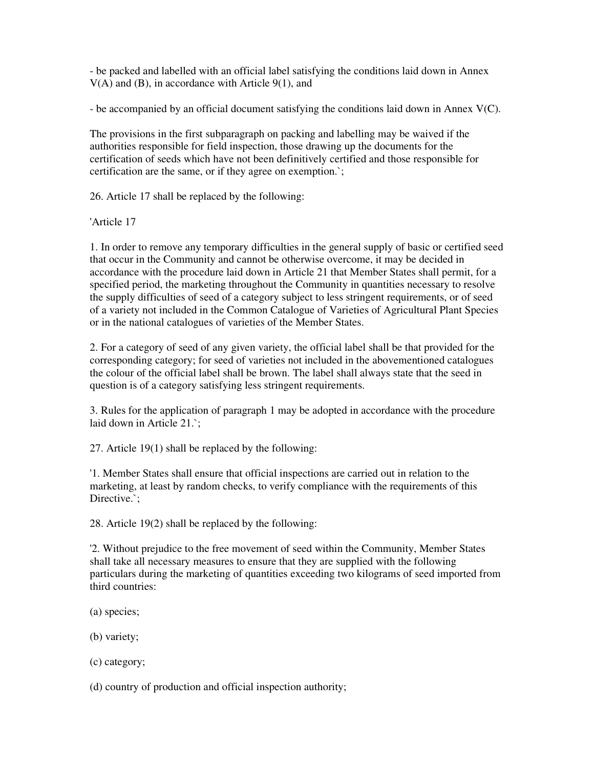- be packed and labelled with an official label satisfying the conditions laid down in Annex V(A) and (B), in accordance with Article 9(1), and

- be accompanied by an official document satisfying the conditions laid down in Annex V(C).

The provisions in the first subparagraph on packing and labelling may be waived if the authorities responsible for field inspection, those drawing up the documents for the certification of seeds which have not been definitively certified and those responsible for certification are the same, or if they agree on exemption.`;

26. Article 17 shall be replaced by the following:

'Article 17

1. In order to remove any temporary difficulties in the general supply of basic or certified seed that occur in the Community and cannot be otherwise overcome, it may be decided in accordance with the procedure laid down in Article 21 that Member States shall permit, for a specified period, the marketing throughout the Community in quantities necessary to resolve the supply difficulties of seed of a category subject to less stringent requirements, or of seed of a variety not included in the Common Catalogue of Varieties of Agricultural Plant Species or in the national catalogues of varieties of the Member States.

2. For a category of seed of any given variety, the official label shall be that provided for the corresponding category; for seed of varieties not included in the abovementioned catalogues the colour of the official label shall be brown. The label shall always state that the seed in question is of a category satisfying less stringent requirements.

3. Rules for the application of paragraph 1 may be adopted in accordance with the procedure laid down in Article 21.`;

27. Article 19(1) shall be replaced by the following:

'1. Member States shall ensure that official inspections are carried out in relation to the marketing, at least by random checks, to verify compliance with the requirements of this Directive.`:

28. Article 19(2) shall be replaced by the following:

'2. Without prejudice to the free movement of seed within the Community, Member States shall take all necessary measures to ensure that they are supplied with the following particulars during the marketing of quantities exceeding two kilograms of seed imported from third countries:

- (a) species;
- (b) variety;
- (c) category;
- (d) country of production and official inspection authority;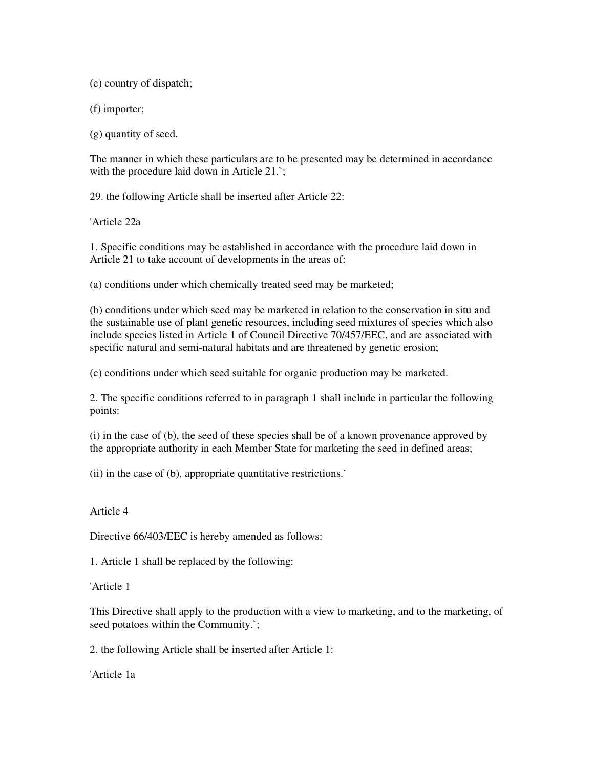(e) country of dispatch;

(f) importer;

(g) quantity of seed.

The manner in which these particulars are to be presented may be determined in accordance with the procedure laid down in Article 21.`;

29. the following Article shall be inserted after Article 22:

'Article 22a

1. Specific conditions may be established in accordance with the procedure laid down in Article 21 to take account of developments in the areas of:

(a) conditions under which chemically treated seed may be marketed;

(b) conditions under which seed may be marketed in relation to the conservation in situ and the sustainable use of plant genetic resources, including seed mixtures of species which also include species listed in Article 1 of Council Directive 70/457/EEC, and are associated with specific natural and semi-natural habitats and are threatened by genetic erosion;

(c) conditions under which seed suitable for organic production may be marketed.

2. The specific conditions referred to in paragraph 1 shall include in particular the following points:

(i) in the case of (b), the seed of these species shall be of a known provenance approved by the appropriate authority in each Member State for marketing the seed in defined areas;

(ii) in the case of (b), appropriate quantitative restrictions.`

## Article 4

Directive 66/403/EEC is hereby amended as follows:

1. Article 1 shall be replaced by the following:

'Article 1

This Directive shall apply to the production with a view to marketing, and to the marketing, of seed potatoes within the Community.`;

2. the following Article shall be inserted after Article 1:

'Article 1a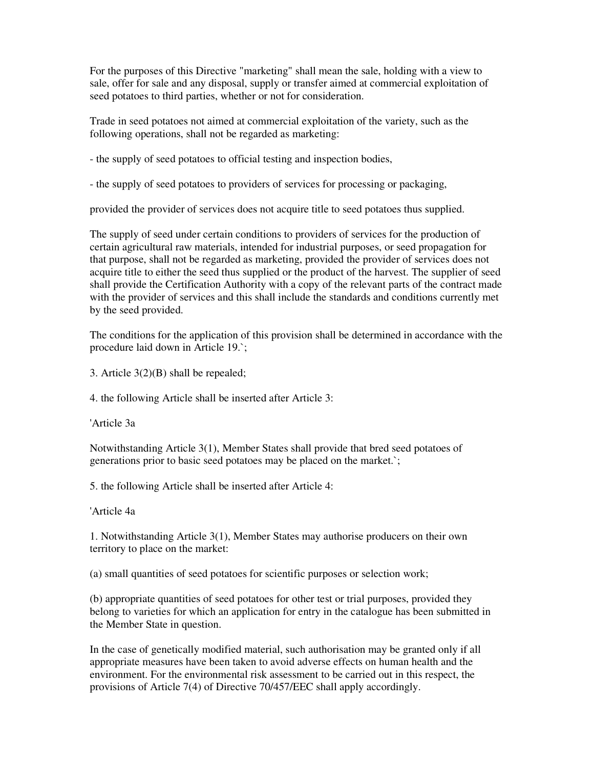For the purposes of this Directive "marketing" shall mean the sale, holding with a view to sale, offer for sale and any disposal, supply or transfer aimed at commercial exploitation of seed potatoes to third parties, whether or not for consideration.

Trade in seed potatoes not aimed at commercial exploitation of the variety, such as the following operations, shall not be regarded as marketing:

- the supply of seed potatoes to official testing and inspection bodies,

- the supply of seed potatoes to providers of services for processing or packaging,

provided the provider of services does not acquire title to seed potatoes thus supplied.

The supply of seed under certain conditions to providers of services for the production of certain agricultural raw materials, intended for industrial purposes, or seed propagation for that purpose, shall not be regarded as marketing, provided the provider of services does not acquire title to either the seed thus supplied or the product of the harvest. The supplier of seed shall provide the Certification Authority with a copy of the relevant parts of the contract made with the provider of services and this shall include the standards and conditions currently met by the seed provided.

The conditions for the application of this provision shall be determined in accordance with the procedure laid down in Article 19.`;

3. Article 3(2)(B) shall be repealed;

4. the following Article shall be inserted after Article 3:

'Article 3a

Notwithstanding Article 3(1), Member States shall provide that bred seed potatoes of generations prior to basic seed potatoes may be placed on the market.`;

5. the following Article shall be inserted after Article 4:

'Article 4a

1. Notwithstanding Article 3(1), Member States may authorise producers on their own territory to place on the market:

(a) small quantities of seed potatoes for scientific purposes or selection work;

(b) appropriate quantities of seed potatoes for other test or trial purposes, provided they belong to varieties for which an application for entry in the catalogue has been submitted in the Member State in question.

In the case of genetically modified material, such authorisation may be granted only if all appropriate measures have been taken to avoid adverse effects on human health and the environment. For the environmental risk assessment to be carried out in this respect, the provisions of Article 7(4) of Directive 70/457/EEC shall apply accordingly.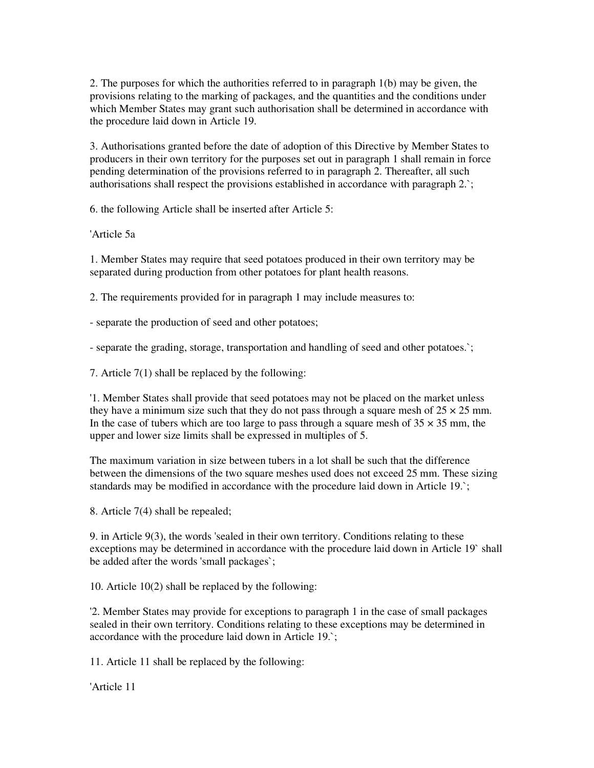2. The purposes for which the authorities referred to in paragraph 1(b) may be given, the provisions relating to the marking of packages, and the quantities and the conditions under which Member States may grant such authorisation shall be determined in accordance with the procedure laid down in Article 19.

3. Authorisations granted before the date of adoption of this Directive by Member States to producers in their own territory for the purposes set out in paragraph 1 shall remain in force pending determination of the provisions referred to in paragraph 2. Thereafter, all such authorisations shall respect the provisions established in accordance with paragraph 2.`;

6. the following Article shall be inserted after Article 5:

'Article 5a

1. Member States may require that seed potatoes produced in their own territory may be separated during production from other potatoes for plant health reasons.

2. The requirements provided for in paragraph 1 may include measures to:

- separate the production of seed and other potatoes;

- separate the grading, storage, transportation and handling of seed and other potatoes.`;

7. Article 7(1) shall be replaced by the following:

'1. Member States shall provide that seed potatoes may not be placed on the market unless they have a minimum size such that they do not pass through a square mesh of  $25 \times 25$  mm. In the case of tubers which are too large to pass through a square mesh of  $35 \times 35$  mm, the upper and lower size limits shall be expressed in multiples of 5.

The maximum variation in size between tubers in a lot shall be such that the difference between the dimensions of the two square meshes used does not exceed 25 mm. These sizing standards may be modified in accordance with the procedure laid down in Article 19.`;

8. Article 7(4) shall be repealed;

9. in Article 9(3), the words 'sealed in their own territory. Conditions relating to these exceptions may be determined in accordance with the procedure laid down in Article 19` shall be added after the words 'small packages`;

10. Article 10(2) shall be replaced by the following:

'2. Member States may provide for exceptions to paragraph 1 in the case of small packages sealed in their own territory. Conditions relating to these exceptions may be determined in accordance with the procedure laid down in Article 19.`;

11. Article 11 shall be replaced by the following:

'Article 11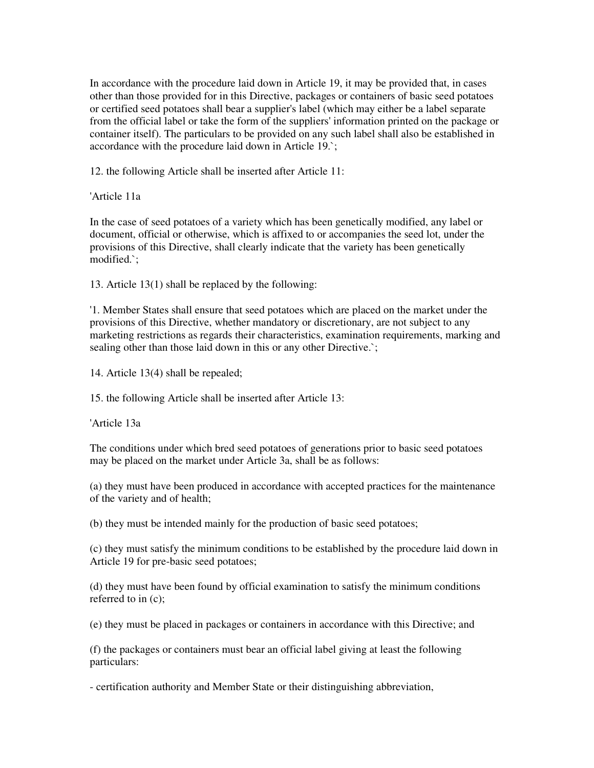In accordance with the procedure laid down in Article 19, it may be provided that, in cases other than those provided for in this Directive, packages or containers of basic seed potatoes or certified seed potatoes shall bear a supplier's label (which may either be a label separate from the official label or take the form of the suppliers' information printed on the package or container itself). The particulars to be provided on any such label shall also be established in accordance with the procedure laid down in Article 19.`;

12. the following Article shall be inserted after Article 11:

'Article 11a

In the case of seed potatoes of a variety which has been genetically modified, any label or document, official or otherwise, which is affixed to or accompanies the seed lot, under the provisions of this Directive, shall clearly indicate that the variety has been genetically modified.`;

13. Article 13(1) shall be replaced by the following:

'1. Member States shall ensure that seed potatoes which are placed on the market under the provisions of this Directive, whether mandatory or discretionary, are not subject to any marketing restrictions as regards their characteristics, examination requirements, marking and sealing other than those laid down in this or any other Directive.`;

14. Article 13(4) shall be repealed;

15. the following Article shall be inserted after Article 13:

'Article 13a

The conditions under which bred seed potatoes of generations prior to basic seed potatoes may be placed on the market under Article 3a, shall be as follows:

(a) they must have been produced in accordance with accepted practices for the maintenance of the variety and of health;

(b) they must be intended mainly for the production of basic seed potatoes;

(c) they must satisfy the minimum conditions to be established by the procedure laid down in Article 19 for pre-basic seed potatoes;

(d) they must have been found by official examination to satisfy the minimum conditions referred to in (c);

(e) they must be placed in packages or containers in accordance with this Directive; and

(f) the packages or containers must bear an official label giving at least the following particulars:

- certification authority and Member State or their distinguishing abbreviation,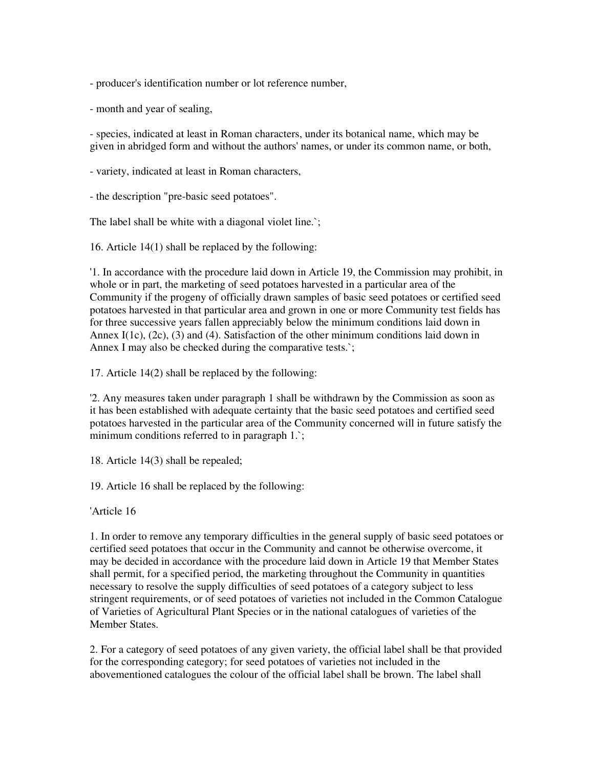- producer's identification number or lot reference number,

- month and year of sealing,

- species, indicated at least in Roman characters, under its botanical name, which may be given in abridged form and without the authors' names, or under its common name, or both,

- variety, indicated at least in Roman characters,

- the description "pre-basic seed potatoes".

The label shall be white with a diagonal violet line.`;

16. Article 14(1) shall be replaced by the following:

'1. In accordance with the procedure laid down in Article 19, the Commission may prohibit, in whole or in part, the marketing of seed potatoes harvested in a particular area of the Community if the progeny of officially drawn samples of basic seed potatoes or certified seed potatoes harvested in that particular area and grown in one or more Community test fields has for three successive years fallen appreciably below the minimum conditions laid down in Annex I(1c), (2c), (3) and (4). Satisfaction of the other minimum conditions laid down in Annex I may also be checked during the comparative tests.`;

17. Article 14(2) shall be replaced by the following:

'2. Any measures taken under paragraph 1 shall be withdrawn by the Commission as soon as it has been established with adequate certainty that the basic seed potatoes and certified seed potatoes harvested in the particular area of the Community concerned will in future satisfy the minimum conditions referred to in paragraph 1.;

18. Article 14(3) shall be repealed;

19. Article 16 shall be replaced by the following:

'Article 16

1. In order to remove any temporary difficulties in the general supply of basic seed potatoes or certified seed potatoes that occur in the Community and cannot be otherwise overcome, it may be decided in accordance with the procedure laid down in Article 19 that Member States shall permit, for a specified period, the marketing throughout the Community in quantities necessary to resolve the supply difficulties of seed potatoes of a category subject to less stringent requirements, or of seed potatoes of varieties not included in the Common Catalogue of Varieties of Agricultural Plant Species or in the national catalogues of varieties of the Member States.

2. For a category of seed potatoes of any given variety, the official label shall be that provided for the corresponding category; for seed potatoes of varieties not included in the abovementioned catalogues the colour of the official label shall be brown. The label shall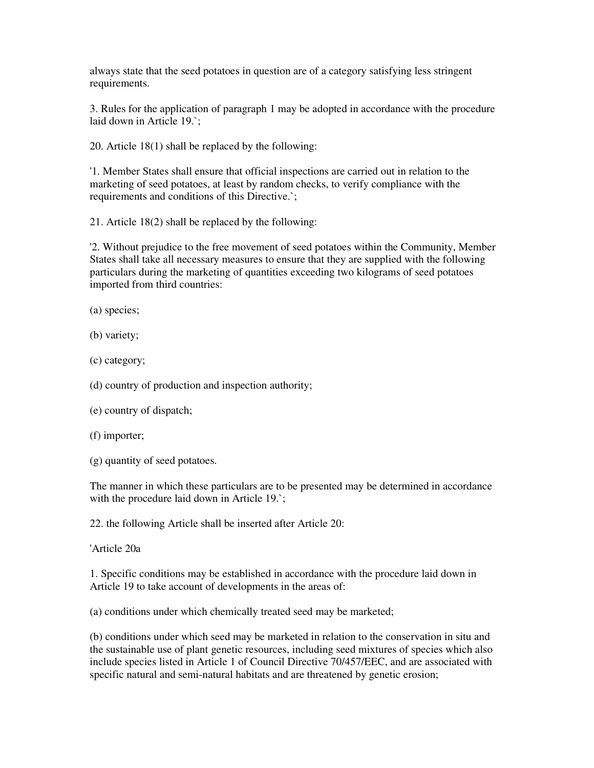always state that the seed potatoes in question are of a category satisfying less stringent requirements.

3. Rules for the application of paragraph 1 may be adopted in accordance with the procedure laid down in Article 19.`;

20. Article 18(1) shall be replaced by the following:

'1. Member States shall ensure that official inspections are carried out in relation to the marketing of seed potatoes, at least by random checks, to verify compliance with the requirements and conditions of this Directive.`;

21. Article 18(2) shall be replaced by the following:

'2. Without prejudice to the free movement of seed potatoes within the Community, Member States shall take all necessary measures to ensure that they are supplied with the following particulars during the marketing of quantities exceeding two kilograms of seed potatoes imported from third countries:

(a) species;

(b) variety;

(c) category;

(d) country of production and inspection authority;

(e) country of dispatch;

(f) importer;

(g) quantity of seed potatoes.

The manner in which these particulars are to be presented may be determined in accordance with the procedure laid down in Article 19.

22. the following Article shall be inserted after Article 20:

'Article 20a

1. Specific conditions may be established in accordance with the procedure laid down in Article 19 to take account of developments in the areas of:

(a) conditions under which chemically treated seed may be marketed;

(b) conditions under which seed may be marketed in relation to the conservation in situ and the sustainable use of plant genetic resources, including seed mixtures of species which also include species listed in Article 1 of Council Directive 70/457/EEC, and are associated with specific natural and semi-natural habitats and are threatened by genetic erosion;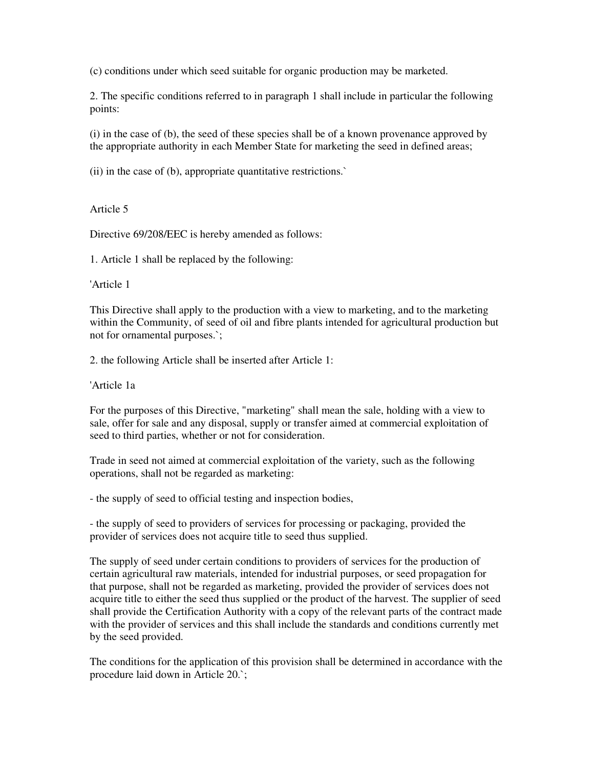(c) conditions under which seed suitable for organic production may be marketed.

2. The specific conditions referred to in paragraph 1 shall include in particular the following points:

(i) in the case of (b), the seed of these species shall be of a known provenance approved by the appropriate authority in each Member State for marketing the seed in defined areas;

(ii) in the case of (b), appropriate quantitative restrictions.`

Article 5

Directive 69/208/EEC is hereby amended as follows:

1. Article 1 shall be replaced by the following:

'Article 1

This Directive shall apply to the production with a view to marketing, and to the marketing within the Community, of seed of oil and fibre plants intended for agricultural production but not for ornamental purposes.`;

2. the following Article shall be inserted after Article 1:

'Article 1a

For the purposes of this Directive, "marketing" shall mean the sale, holding with a view to sale, offer for sale and any disposal, supply or transfer aimed at commercial exploitation of seed to third parties, whether or not for consideration.

Trade in seed not aimed at commercial exploitation of the variety, such as the following operations, shall not be regarded as marketing:

- the supply of seed to official testing and inspection bodies,

- the supply of seed to providers of services for processing or packaging, provided the provider of services does not acquire title to seed thus supplied.

The supply of seed under certain conditions to providers of services for the production of certain agricultural raw materials, intended for industrial purposes, or seed propagation for that purpose, shall not be regarded as marketing, provided the provider of services does not acquire title to either the seed thus supplied or the product of the harvest. The supplier of seed shall provide the Certification Authority with a copy of the relevant parts of the contract made with the provider of services and this shall include the standards and conditions currently met by the seed provided.

The conditions for the application of this provision shall be determined in accordance with the procedure laid down in Article 20.`;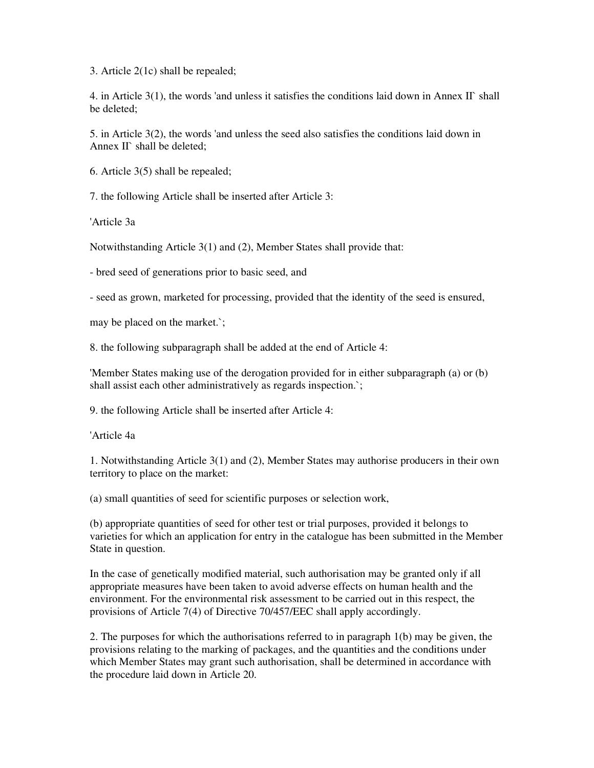3. Article 2(1c) shall be repealed;

4. in Article 3(1), the words 'and unless it satisfies the conditions laid down in Annex II` shall be deleted;

5. in Article 3(2), the words 'and unless the seed also satisfies the conditions laid down in Annex II` shall be deleted:

6. Article 3(5) shall be repealed;

7. the following Article shall be inserted after Article 3:

'Article 3a

Notwithstanding Article 3(1) and (2), Member States shall provide that:

- bred seed of generations prior to basic seed, and

- seed as grown, marketed for processing, provided that the identity of the seed is ensured,

may be placed on the market.`;

8. the following subparagraph shall be added at the end of Article 4:

'Member States making use of the derogation provided for in either subparagraph (a) or (b) shall assist each other administratively as regards inspection.`;

9. the following Article shall be inserted after Article 4:

'Article 4a

1. Notwithstanding Article 3(1) and (2), Member States may authorise producers in their own territory to place on the market:

(a) small quantities of seed for scientific purposes or selection work,

(b) appropriate quantities of seed for other test or trial purposes, provided it belongs to varieties for which an application for entry in the catalogue has been submitted in the Member State in question.

In the case of genetically modified material, such authorisation may be granted only if all appropriate measures have been taken to avoid adverse effects on human health and the environment. For the environmental risk assessment to be carried out in this respect, the provisions of Article 7(4) of Directive 70/457/EEC shall apply accordingly.

2. The purposes for which the authorisations referred to in paragraph 1(b) may be given, the provisions relating to the marking of packages, and the quantities and the conditions under which Member States may grant such authorisation, shall be determined in accordance with the procedure laid down in Article 20.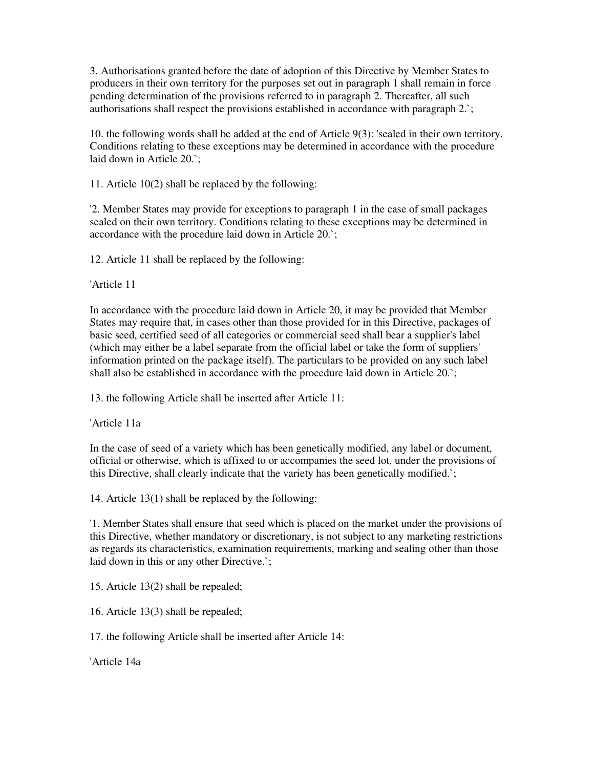3. Authorisations granted before the date of adoption of this Directive by Member States to producers in their own territory for the purposes set out in paragraph 1 shall remain in force pending determination of the provisions referred to in paragraph 2. Thereafter, all such authorisations shall respect the provisions established in accordance with paragraph 2.`;

10. the following words shall be added at the end of Article 9(3): 'sealed in their own territory. Conditions relating to these exceptions may be determined in accordance with the procedure laid down in Article 20.`;

11. Article 10(2) shall be replaced by the following:

'2. Member States may provide for exceptions to paragraph 1 in the case of small packages sealed on their own territory. Conditions relating to these exceptions may be determined in accordance with the procedure laid down in Article 20.`;

12. Article 11 shall be replaced by the following:

'Article 11

In accordance with the procedure laid down in Article 20, it may be provided that Member States may require that, in cases other than those provided for in this Directive, packages of basic seed, certified seed of all categories or commercial seed shall bear a supplier's label (which may either be a label separate from the official label or take the form of suppliers' information printed on the package itself). The particulars to be provided on any such label shall also be established in accordance with the procedure laid down in Article 20.`;

13. the following Article shall be inserted after Article 11:

'Article 11a

In the case of seed of a variety which has been genetically modified, any label or document, official or otherwise, which is affixed to or accompanies the seed lot, under the provisions of this Directive, shall clearly indicate that the variety has been genetically modified.`;

14. Article 13(1) shall be replaced by the following:

'1. Member States shall ensure that seed which is placed on the market under the provisions of this Directive, whether mandatory or discretionary, is not subject to any marketing restrictions as regards its characteristics, examination requirements, marking and sealing other than those laid down in this or any other Directive.`;

15. Article 13(2) shall be repealed;

16. Article 13(3) shall be repealed;

17. the following Article shall be inserted after Article 14:

'Article 14a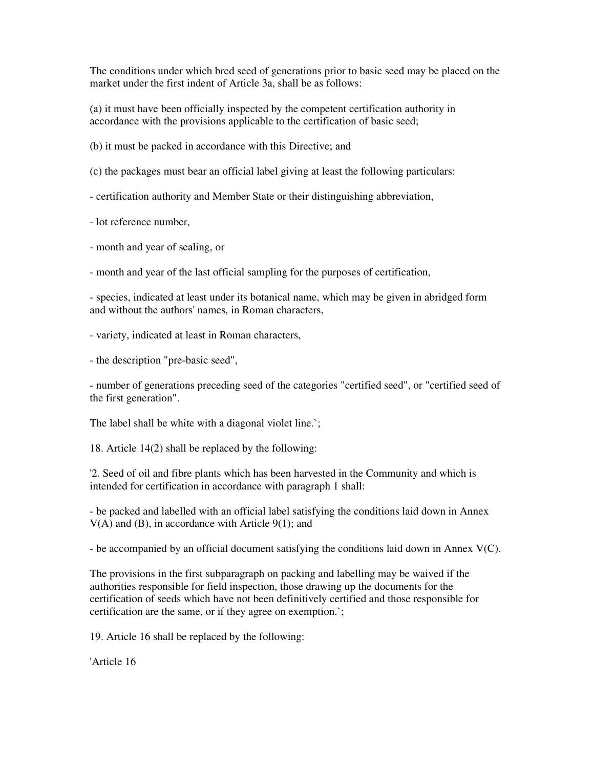The conditions under which bred seed of generations prior to basic seed may be placed on the market under the first indent of Article 3a, shall be as follows:

(a) it must have been officially inspected by the competent certification authority in accordance with the provisions applicable to the certification of basic seed;

(b) it must be packed in accordance with this Directive; and

(c) the packages must bear an official label giving at least the following particulars:

- certification authority and Member State or their distinguishing abbreviation,

- lot reference number,

- month and year of sealing, or

- month and year of the last official sampling for the purposes of certification,

- species, indicated at least under its botanical name, which may be given in abridged form and without the authors' names, in Roman characters,

- variety, indicated at least in Roman characters,

- the description "pre-basic seed",

- number of generations preceding seed of the categories "certified seed", or "certified seed of the first generation".

The label shall be white with a diagonal violet line.`;

18. Article 14(2) shall be replaced by the following:

'2. Seed of oil and fibre plants which has been harvested in the Community and which is intended for certification in accordance with paragraph 1 shall:

- be packed and labelled with an official label satisfying the conditions laid down in Annex  $V(A)$  and (B), in accordance with Article 9(1); and

- be accompanied by an official document satisfying the conditions laid down in Annex V(C).

The provisions in the first subparagraph on packing and labelling may be waived if the authorities responsible for field inspection, those drawing up the documents for the certification of seeds which have not been definitively certified and those responsible for certification are the same, or if they agree on exemption.`;

19. Article 16 shall be replaced by the following:

'Article 16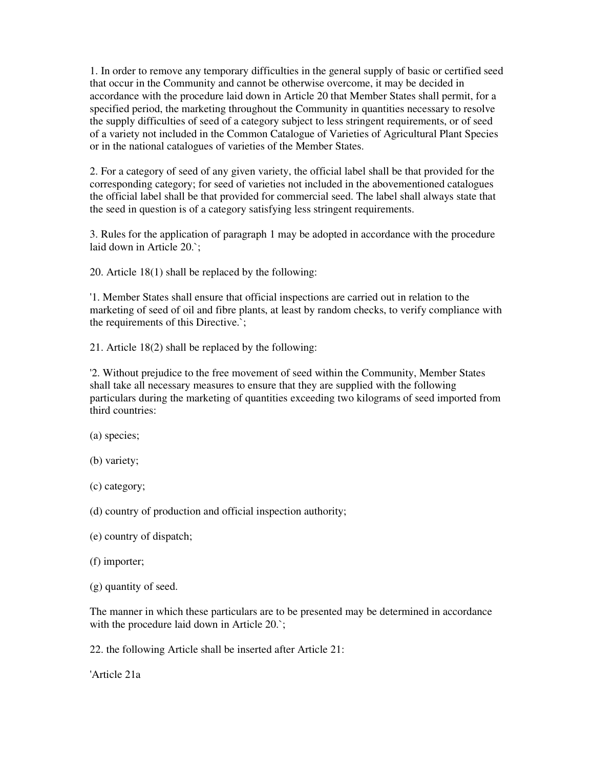1. In order to remove any temporary difficulties in the general supply of basic or certified seed that occur in the Community and cannot be otherwise overcome, it may be decided in accordance with the procedure laid down in Article 20 that Member States shall permit, for a specified period, the marketing throughout the Community in quantities necessary to resolve the supply difficulties of seed of a category subject to less stringent requirements, or of seed of a variety not included in the Common Catalogue of Varieties of Agricultural Plant Species or in the national catalogues of varieties of the Member States.

2. For a category of seed of any given variety, the official label shall be that provided for the corresponding category; for seed of varieties not included in the abovementioned catalogues the official label shall be that provided for commercial seed. The label shall always state that the seed in question is of a category satisfying less stringent requirements.

3. Rules for the application of paragraph 1 may be adopted in accordance with the procedure laid down in Article 20.`;

20. Article 18(1) shall be replaced by the following:

'1. Member States shall ensure that official inspections are carried out in relation to the marketing of seed of oil and fibre plants, at least by random checks, to verify compliance with the requirements of this Directive.`;

21. Article 18(2) shall be replaced by the following:

'2. Without prejudice to the free movement of seed within the Community, Member States shall take all necessary measures to ensure that they are supplied with the following particulars during the marketing of quantities exceeding two kilograms of seed imported from third countries:

(a) species;

(b) variety;

(c) category;

(d) country of production and official inspection authority;

- (e) country of dispatch;
- (f) importer;
- (g) quantity of seed.

The manner in which these particulars are to be presented may be determined in accordance with the procedure laid down in Article 20.`;

22. the following Article shall be inserted after Article 21:

'Article 21a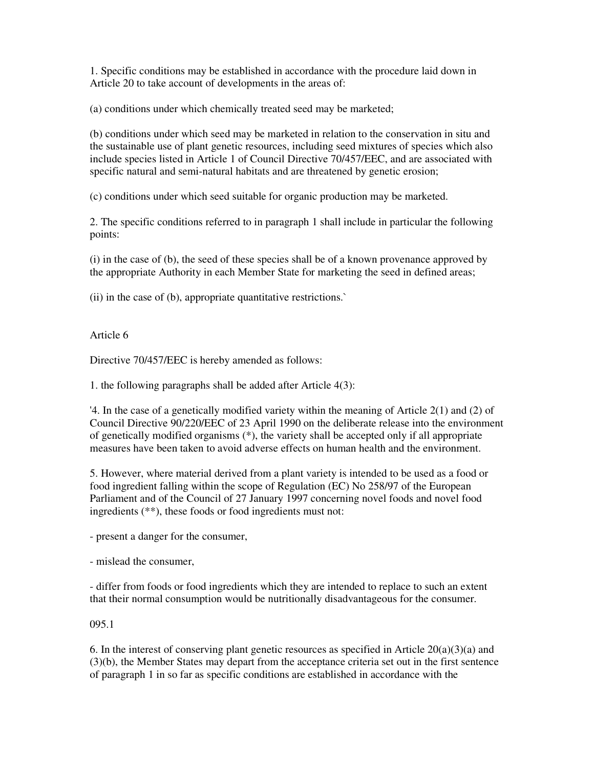1. Specific conditions may be established in accordance with the procedure laid down in Article 20 to take account of developments in the areas of:

(a) conditions under which chemically treated seed may be marketed;

(b) conditions under which seed may be marketed in relation to the conservation in situ and the sustainable use of plant genetic resources, including seed mixtures of species which also include species listed in Article 1 of Council Directive 70/457/EEC, and are associated with specific natural and semi-natural habitats and are threatened by genetic erosion;

(c) conditions under which seed suitable for organic production may be marketed.

2. The specific conditions referred to in paragraph 1 shall include in particular the following points:

(i) in the case of (b), the seed of these species shall be of a known provenance approved by the appropriate Authority in each Member State for marketing the seed in defined areas;

(ii) in the case of (b), appropriate quantitative restrictions.`

Article 6

Directive 70/457/EEC is hereby amended as follows:

1. the following paragraphs shall be added after Article 4(3):

'4. In the case of a genetically modified variety within the meaning of Article 2(1) and (2) of Council Directive 90/220/EEC of 23 April 1990 on the deliberate release into the environment of genetically modified organisms (\*), the variety shall be accepted only if all appropriate measures have been taken to avoid adverse effects on human health and the environment.

5. However, where material derived from a plant variety is intended to be used as a food or food ingredient falling within the scope of Regulation (EC) No 258/97 of the European Parliament and of the Council of 27 January 1997 concerning novel foods and novel food ingredients (\*\*), these foods or food ingredients must not:

- present a danger for the consumer,

- mislead the consumer,

- differ from foods or food ingredients which they are intended to replace to such an extent that their normal consumption would be nutritionally disadvantageous for the consumer.

095.1

6. In the interest of conserving plant genetic resources as specified in Article  $20(a)(3)(a)$  and (3)(b), the Member States may depart from the acceptance criteria set out in the first sentence of paragraph 1 in so far as specific conditions are established in accordance with the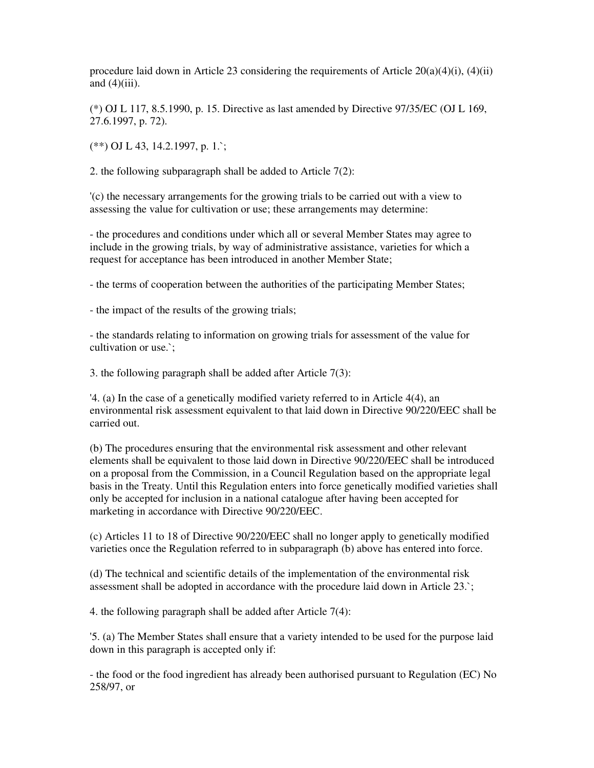procedure laid down in Article 23 considering the requirements of Article  $20(a)(4)(i)$ ,  $(4)(ii)$ and  $(4)$ (iii).

(\*) OJ L 117, 8.5.1990, p. 15. Directive as last amended by Directive 97/35/EC (OJ L 169, 27.6.1997, p. 72).

(\*\*) OJ L 43, 14.2.1997, p. 1.`;

2. the following subparagraph shall be added to Article 7(2):

'(c) the necessary arrangements for the growing trials to be carried out with a view to assessing the value for cultivation or use; these arrangements may determine:

- the procedures and conditions under which all or several Member States may agree to include in the growing trials, by way of administrative assistance, varieties for which a request for acceptance has been introduced in another Member State;

- the terms of cooperation between the authorities of the participating Member States;

- the impact of the results of the growing trials;

- the standards relating to information on growing trials for assessment of the value for cultivation or use.`;

3. the following paragraph shall be added after Article 7(3):

'4. (a) In the case of a genetically modified variety referred to in Article 4(4), an environmental risk assessment equivalent to that laid down in Directive 90/220/EEC shall be carried out.

(b) The procedures ensuring that the environmental risk assessment and other relevant elements shall be equivalent to those laid down in Directive 90/220/EEC shall be introduced on a proposal from the Commission, in a Council Regulation based on the appropriate legal basis in the Treaty. Until this Regulation enters into force genetically modified varieties shall only be accepted for inclusion in a national catalogue after having been accepted for marketing in accordance with Directive 90/220/EEC.

(c) Articles 11 to 18 of Directive 90/220/EEC shall no longer apply to genetically modified varieties once the Regulation referred to in subparagraph (b) above has entered into force.

(d) The technical and scientific details of the implementation of the environmental risk assessment shall be adopted in accordance with the procedure laid down in Article 23.`;

4. the following paragraph shall be added after Article 7(4):

'5. (a) The Member States shall ensure that a variety intended to be used for the purpose laid down in this paragraph is accepted only if:

- the food or the food ingredient has already been authorised pursuant to Regulation (EC) No 258/97, or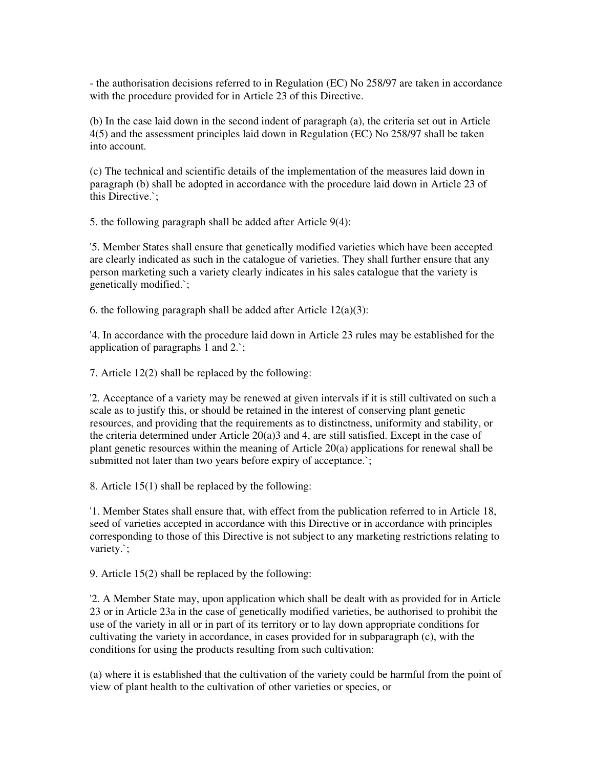- the authorisation decisions referred to in Regulation (EC) No 258/97 are taken in accordance with the procedure provided for in Article 23 of this Directive.

(b) In the case laid down in the second indent of paragraph (a), the criteria set out in Article 4(5) and the assessment principles laid down in Regulation (EC) No 258/97 shall be taken into account.

(c) The technical and scientific details of the implementation of the measures laid down in paragraph (b) shall be adopted in accordance with the procedure laid down in Article 23 of this Directive.`;

5. the following paragraph shall be added after Article 9(4):

'5. Member States shall ensure that genetically modified varieties which have been accepted are clearly indicated as such in the catalogue of varieties. They shall further ensure that any person marketing such a variety clearly indicates in his sales catalogue that the variety is genetically modified.`;

6. the following paragraph shall be added after Article  $12(a)(3)$ :

'4. In accordance with the procedure laid down in Article 23 rules may be established for the application of paragraphs 1 and 2.`;

7. Article 12(2) shall be replaced by the following:

'2. Acceptance of a variety may be renewed at given intervals if it is still cultivated on such a scale as to justify this, or should be retained in the interest of conserving plant genetic resources, and providing that the requirements as to distinctness, uniformity and stability, or the criteria determined under Article 20(a)3 and 4, are still satisfied. Except in the case of plant genetic resources within the meaning of Article 20(a) applications for renewal shall be submitted not later than two years before expiry of acceptance.`;

8. Article 15(1) shall be replaced by the following:

'1. Member States shall ensure that, with effect from the publication referred to in Article 18, seed of varieties accepted in accordance with this Directive or in accordance with principles corresponding to those of this Directive is not subject to any marketing restrictions relating to variety.`;

9. Article 15(2) shall be replaced by the following:

'2. A Member State may, upon application which shall be dealt with as provided for in Article 23 or in Article 23a in the case of genetically modified varieties, be authorised to prohibit the use of the variety in all or in part of its territory or to lay down appropriate conditions for cultivating the variety in accordance, in cases provided for in subparagraph (c), with the conditions for using the products resulting from such cultivation:

(a) where it is established that the cultivation of the variety could be harmful from the point of view of plant health to the cultivation of other varieties or species, or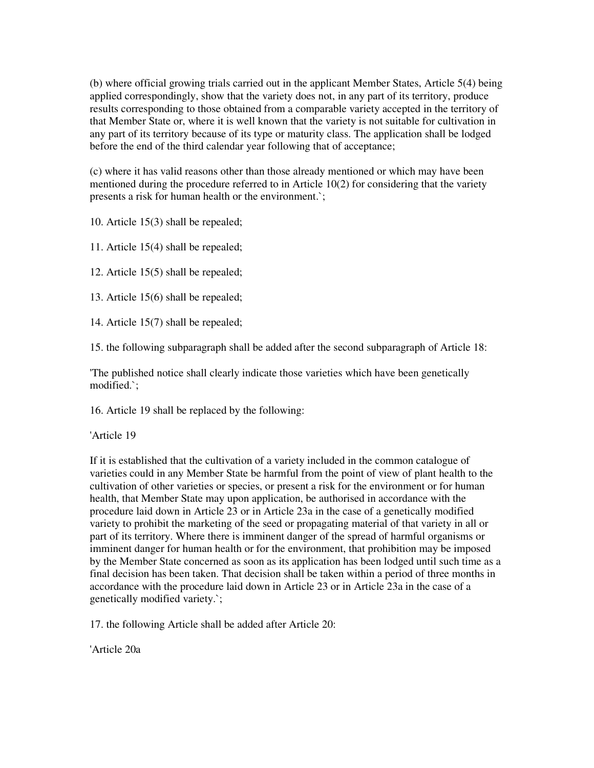(b) where official growing trials carried out in the applicant Member States, Article 5(4) being applied correspondingly, show that the variety does not, in any part of its territory, produce results corresponding to those obtained from a comparable variety accepted in the territory of that Member State or, where it is well known that the variety is not suitable for cultivation in any part of its territory because of its type or maturity class. The application shall be lodged before the end of the third calendar year following that of acceptance;

(c) where it has valid reasons other than those already mentioned or which may have been mentioned during the procedure referred to in Article 10(2) for considering that the variety presents a risk for human health or the environment.`;

10. Article 15(3) shall be repealed;

11. Article 15(4) shall be repealed;

12. Article 15(5) shall be repealed;

13. Article 15(6) shall be repealed;

14. Article 15(7) shall be repealed;

15. the following subparagraph shall be added after the second subparagraph of Article 18:

'The published notice shall clearly indicate those varieties which have been genetically modified.`;

16. Article 19 shall be replaced by the following:

'Article 19

If it is established that the cultivation of a variety included in the common catalogue of varieties could in any Member State be harmful from the point of view of plant health to the cultivation of other varieties or species, or present a risk for the environment or for human health, that Member State may upon application, be authorised in accordance with the procedure laid down in Article 23 or in Article 23a in the case of a genetically modified variety to prohibit the marketing of the seed or propagating material of that variety in all or part of its territory. Where there is imminent danger of the spread of harmful organisms or imminent danger for human health or for the environment, that prohibition may be imposed by the Member State concerned as soon as its application has been lodged until such time as a final decision has been taken. That decision shall be taken within a period of three months in accordance with the procedure laid down in Article 23 or in Article 23a in the case of a genetically modified variety.`;

17. the following Article shall be added after Article 20:

'Article 20a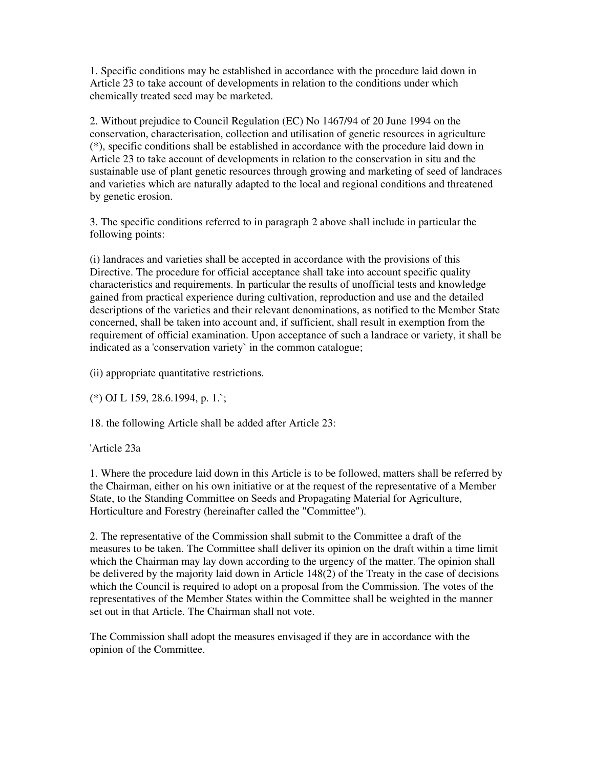1. Specific conditions may be established in accordance with the procedure laid down in Article 23 to take account of developments in relation to the conditions under which chemically treated seed may be marketed.

2. Without prejudice to Council Regulation (EC) No 1467/94 of 20 June 1994 on the conservation, characterisation, collection and utilisation of genetic resources in agriculture (\*), specific conditions shall be established in accordance with the procedure laid down in Article 23 to take account of developments in relation to the conservation in situ and the sustainable use of plant genetic resources through growing and marketing of seed of landraces and varieties which are naturally adapted to the local and regional conditions and threatened by genetic erosion.

3. The specific conditions referred to in paragraph 2 above shall include in particular the following points:

(i) landraces and varieties shall be accepted in accordance with the provisions of this Directive. The procedure for official acceptance shall take into account specific quality characteristics and requirements. In particular the results of unofficial tests and knowledge gained from practical experience during cultivation, reproduction and use and the detailed descriptions of the varieties and their relevant denominations, as notified to the Member State concerned, shall be taken into account and, if sufficient, shall result in exemption from the requirement of official examination. Upon acceptance of such a landrace or variety, it shall be indicated as a 'conservation variety` in the common catalogue;

(ii) appropriate quantitative restrictions.

(\*) OJ L 159, 28.6.1994, p. 1.`;

18. the following Article shall be added after Article 23:

'Article 23a

1. Where the procedure laid down in this Article is to be followed, matters shall be referred by the Chairman, either on his own initiative or at the request of the representative of a Member State, to the Standing Committee on Seeds and Propagating Material for Agriculture, Horticulture and Forestry (hereinafter called the "Committee").

2. The representative of the Commission shall submit to the Committee a draft of the measures to be taken. The Committee shall deliver its opinion on the draft within a time limit which the Chairman may lay down according to the urgency of the matter. The opinion shall be delivered by the majority laid down in Article 148(2) of the Treaty in the case of decisions which the Council is required to adopt on a proposal from the Commission. The votes of the representatives of the Member States within the Committee shall be weighted in the manner set out in that Article. The Chairman shall not vote.

The Commission shall adopt the measures envisaged if they are in accordance with the opinion of the Committee.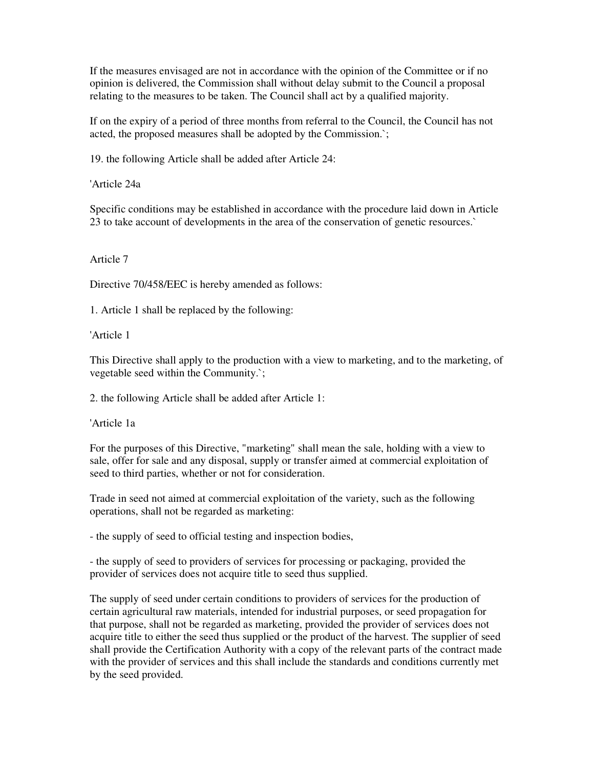If the measures envisaged are not in accordance with the opinion of the Committee or if no opinion is delivered, the Commission shall without delay submit to the Council a proposal relating to the measures to be taken. The Council shall act by a qualified majority.

If on the expiry of a period of three months from referral to the Council, the Council has not acted, the proposed measures shall be adopted by the Commission.`;

19. the following Article shall be added after Article 24:

'Article 24a

Specific conditions may be established in accordance with the procedure laid down in Article 23 to take account of developments in the area of the conservation of genetic resources.`

Article 7

Directive 70/458/EEC is hereby amended as follows:

1. Article 1 shall be replaced by the following:

'Article 1

This Directive shall apply to the production with a view to marketing, and to the marketing, of vegetable seed within the Community.`;

2. the following Article shall be added after Article 1:

'Article 1a

For the purposes of this Directive, "marketing" shall mean the sale, holding with a view to sale, offer for sale and any disposal, supply or transfer aimed at commercial exploitation of seed to third parties, whether or not for consideration.

Trade in seed not aimed at commercial exploitation of the variety, such as the following operations, shall not be regarded as marketing:

- the supply of seed to official testing and inspection bodies,

- the supply of seed to providers of services for processing or packaging, provided the provider of services does not acquire title to seed thus supplied.

The supply of seed under certain conditions to providers of services for the production of certain agricultural raw materials, intended for industrial purposes, or seed propagation for that purpose, shall not be regarded as marketing, provided the provider of services does not acquire title to either the seed thus supplied or the product of the harvest. The supplier of seed shall provide the Certification Authority with a copy of the relevant parts of the contract made with the provider of services and this shall include the standards and conditions currently met by the seed provided.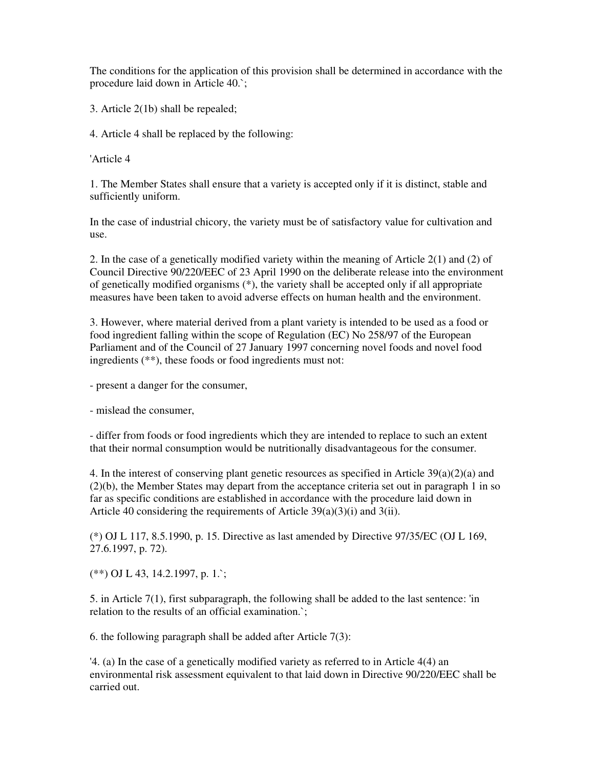The conditions for the application of this provision shall be determined in accordance with the procedure laid down in Article 40.`;

3. Article 2(1b) shall be repealed;

4. Article 4 shall be replaced by the following:

'Article 4

1. The Member States shall ensure that a variety is accepted only if it is distinct, stable and sufficiently uniform.

In the case of industrial chicory, the variety must be of satisfactory value for cultivation and use.

2. In the case of a genetically modified variety within the meaning of Article 2(1) and (2) of Council Directive 90/220/EEC of 23 April 1990 on the deliberate release into the environment of genetically modified organisms (\*), the variety shall be accepted only if all appropriate measures have been taken to avoid adverse effects on human health and the environment.

3. However, where material derived from a plant variety is intended to be used as a food or food ingredient falling within the scope of Regulation (EC) No 258/97 of the European Parliament and of the Council of 27 January 1997 concerning novel foods and novel food ingredients (\*\*), these foods or food ingredients must not:

- present a danger for the consumer,

- mislead the consumer,

- differ from foods or food ingredients which they are intended to replace to such an extent that their normal consumption would be nutritionally disadvantageous for the consumer.

4. In the interest of conserving plant genetic resources as specified in Article  $39(a)(2)(a)$  and (2)(b), the Member States may depart from the acceptance criteria set out in paragraph 1 in so far as specific conditions are established in accordance with the procedure laid down in Article 40 considering the requirements of Article 39(a)(3)(i) and 3(ii).

(\*) OJ L 117, 8.5.1990, p. 15. Directive as last amended by Directive 97/35/EC (OJ L 169, 27.6.1997, p. 72).

(\*\*) OJ L 43, 14.2.1997, p. 1.`;

5. in Article 7(1), first subparagraph, the following shall be added to the last sentence: 'in relation to the results of an official examination.`;

6. the following paragraph shall be added after Article 7(3):

'4. (a) In the case of a genetically modified variety as referred to in Article 4(4) an environmental risk assessment equivalent to that laid down in Directive 90/220/EEC shall be carried out.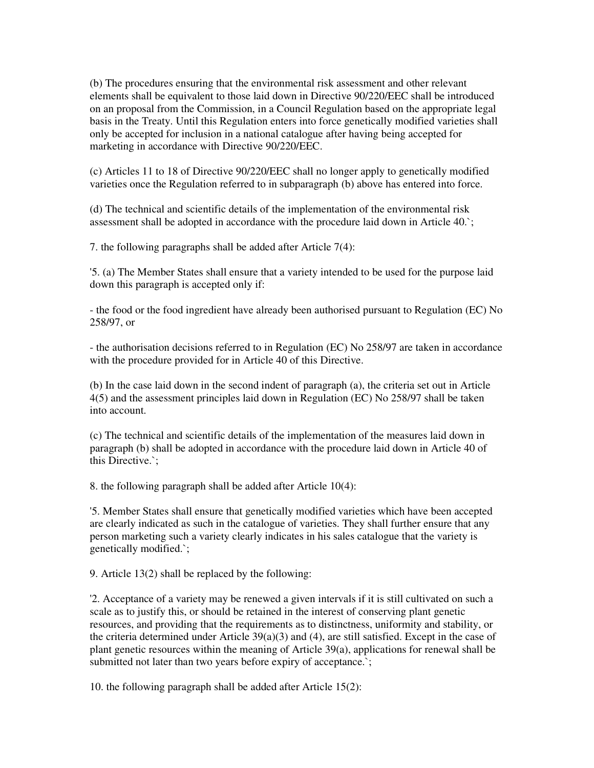(b) The procedures ensuring that the environmental risk assessment and other relevant elements shall be equivalent to those laid down in Directive 90/220/EEC shall be introduced on an proposal from the Commission, in a Council Regulation based on the appropriate legal basis in the Treaty. Until this Regulation enters into force genetically modified varieties shall only be accepted for inclusion in a national catalogue after having being accepted for marketing in accordance with Directive 90/220/EEC.

(c) Articles 11 to 18 of Directive 90/220/EEC shall no longer apply to genetically modified varieties once the Regulation referred to in subparagraph (b) above has entered into force.

(d) The technical and scientific details of the implementation of the environmental risk assessment shall be adopted in accordance with the procedure laid down in Article 40.`;

7. the following paragraphs shall be added after Article 7(4):

'5. (a) The Member States shall ensure that a variety intended to be used for the purpose laid down this paragraph is accepted only if:

- the food or the food ingredient have already been authorised pursuant to Regulation (EC) No 258/97, or

- the authorisation decisions referred to in Regulation (EC) No 258/97 are taken in accordance with the procedure provided for in Article 40 of this Directive.

(b) In the case laid down in the second indent of paragraph (a), the criteria set out in Article 4(5) and the assessment principles laid down in Regulation (EC) No 258/97 shall be taken into account.

(c) The technical and scientific details of the implementation of the measures laid down in paragraph (b) shall be adopted in accordance with the procedure laid down in Article 40 of this Directive.`;

8. the following paragraph shall be added after Article 10(4):

'5. Member States shall ensure that genetically modified varieties which have been accepted are clearly indicated as such in the catalogue of varieties. They shall further ensure that any person marketing such a variety clearly indicates in his sales catalogue that the variety is genetically modified.`;

9. Article 13(2) shall be replaced by the following:

'2. Acceptance of a variety may be renewed a given intervals if it is still cultivated on such a scale as to justify this, or should be retained in the interest of conserving plant genetic resources, and providing that the requirements as to distinctness, uniformity and stability, or the criteria determined under Article 39(a)(3) and (4), are still satisfied. Except in the case of plant genetic resources within the meaning of Article 39(a), applications for renewal shall be submitted not later than two years before expiry of acceptance.`;

10. the following paragraph shall be added after Article 15(2):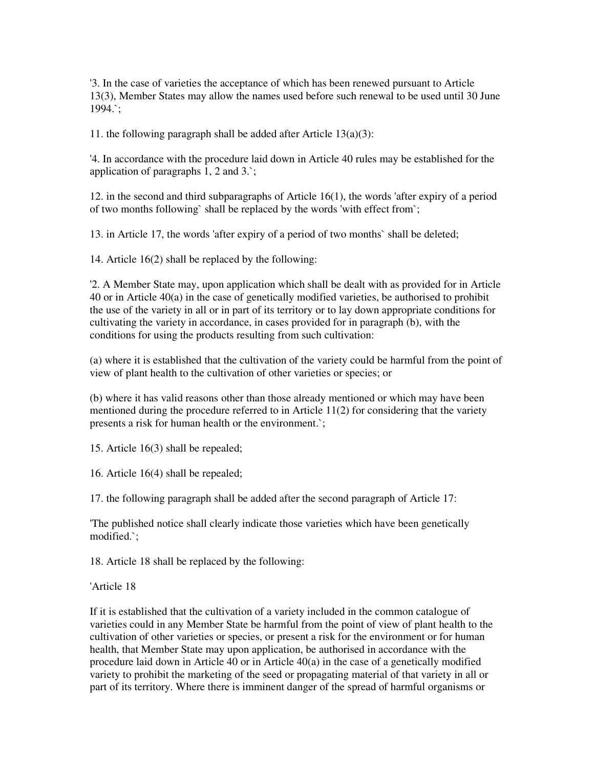'3. In the case of varieties the acceptance of which has been renewed pursuant to Article 13(3), Member States may allow the names used before such renewal to be used until 30 June 1994.`;

11. the following paragraph shall be added after Article  $13(a)(3)$ :

'4. In accordance with the procedure laid down in Article 40 rules may be established for the application of paragraphs 1, 2 and 3.`;

12. in the second and third subparagraphs of Article 16(1), the words 'after expiry of a period of two months following` shall be replaced by the words 'with effect from`;

13. in Article 17, the words 'after expiry of a period of two months` shall be deleted;

14. Article 16(2) shall be replaced by the following:

'2. A Member State may, upon application which shall be dealt with as provided for in Article 40 or in Article 40(a) in the case of genetically modified varieties, be authorised to prohibit the use of the variety in all or in part of its territory or to lay down appropriate conditions for cultivating the variety in accordance, in cases provided for in paragraph (b), with the conditions for using the products resulting from such cultivation:

(a) where it is established that the cultivation of the variety could be harmful from the point of view of plant health to the cultivation of other varieties or species; or

(b) where it has valid reasons other than those already mentioned or which may have been mentioned during the procedure referred to in Article 11(2) for considering that the variety presents a risk for human health or the environment.`;

15. Article 16(3) shall be repealed;

16. Article 16(4) shall be repealed;

17. the following paragraph shall be added after the second paragraph of Article 17:

'The published notice shall clearly indicate those varieties which have been genetically modified.`;

18. Article 18 shall be replaced by the following:

'Article 18

If it is established that the cultivation of a variety included in the common catalogue of varieties could in any Member State be harmful from the point of view of plant health to the cultivation of other varieties or species, or present a risk for the environment or for human health, that Member State may upon application, be authorised in accordance with the procedure laid down in Article 40 or in Article 40(a) in the case of a genetically modified variety to prohibit the marketing of the seed or propagating material of that variety in all or part of its territory. Where there is imminent danger of the spread of harmful organisms or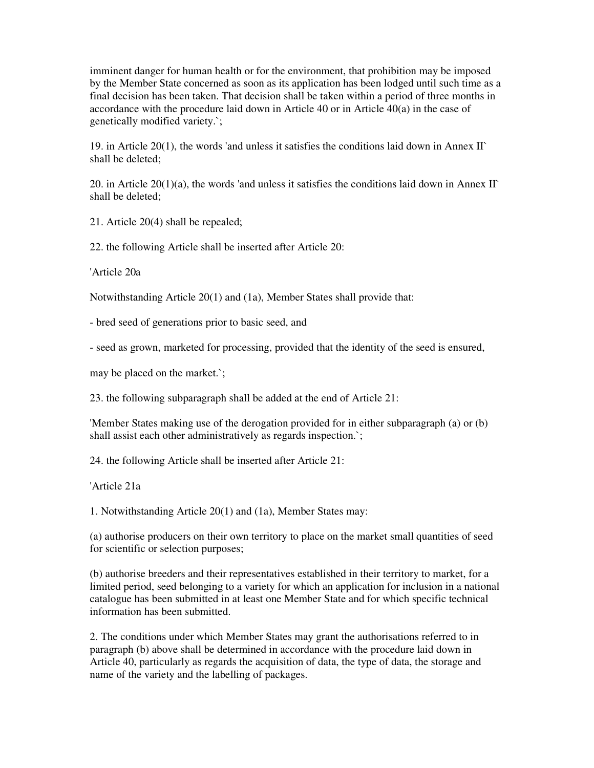imminent danger for human health or for the environment, that prohibition may be imposed by the Member State concerned as soon as its application has been lodged until such time as a final decision has been taken. That decision shall be taken within a period of three months in accordance with the procedure laid down in Article 40 or in Article 40(a) in the case of genetically modified variety.`;

19. in Article 20(1), the words 'and unless it satisfies the conditions laid down in Annex II` shall be deleted;

20. in Article 20(1)(a), the words 'and unless it satisfies the conditions laid down in Annex II` shall be deleted;

21. Article 20(4) shall be repealed;

22. the following Article shall be inserted after Article 20:

'Article 20a

Notwithstanding Article 20(1) and (1a), Member States shall provide that:

- bred seed of generations prior to basic seed, and

- seed as grown, marketed for processing, provided that the identity of the seed is ensured,

may be placed on the market.`;

23. the following subparagraph shall be added at the end of Article 21:

'Member States making use of the derogation provided for in either subparagraph (a) or (b) shall assist each other administratively as regards inspection.`;

24. the following Article shall be inserted after Article 21:

'Article 21a

1. Notwithstanding Article 20(1) and (1a), Member States may:

(a) authorise producers on their own territory to place on the market small quantities of seed for scientific or selection purposes;

(b) authorise breeders and their representatives established in their territory to market, for a limited period, seed belonging to a variety for which an application for inclusion in a national catalogue has been submitted in at least one Member State and for which specific technical information has been submitted.

2. The conditions under which Member States may grant the authorisations referred to in paragraph (b) above shall be determined in accordance with the procedure laid down in Article 40, particularly as regards the acquisition of data, the type of data, the storage and name of the variety and the labelling of packages.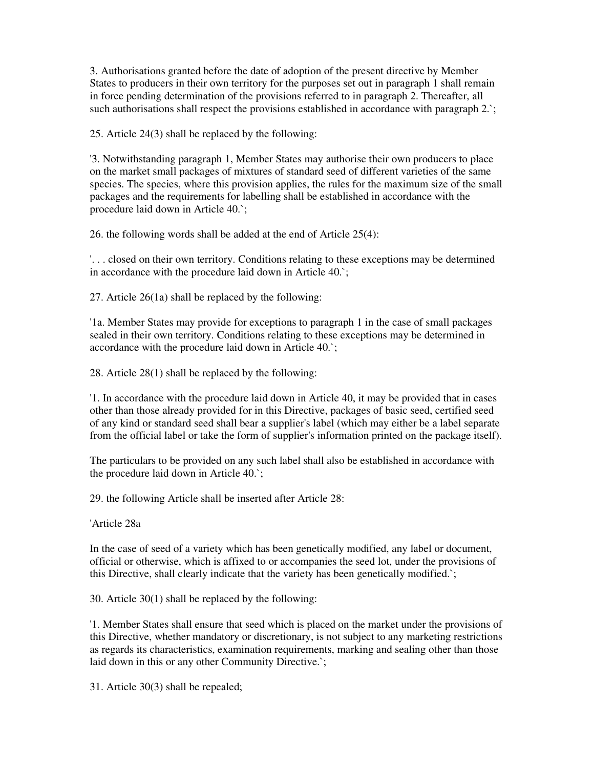3. Authorisations granted before the date of adoption of the present directive by Member States to producers in their own territory for the purposes set out in paragraph 1 shall remain in force pending determination of the provisions referred to in paragraph 2. Thereafter, all such authorisations shall respect the provisions established in accordance with paragraph 2.

25. Article 24(3) shall be replaced by the following:

'3. Notwithstanding paragraph 1, Member States may authorise their own producers to place on the market small packages of mixtures of standard seed of different varieties of the same species. The species, where this provision applies, the rules for the maximum size of the small packages and the requirements for labelling shall be established in accordance with the procedure laid down in Article 40.`;

26. the following words shall be added at the end of Article 25(4):

'. . . closed on their own territory. Conditions relating to these exceptions may be determined in accordance with the procedure laid down in Article 40.`;

27. Article 26(1a) shall be replaced by the following:

'1a. Member States may provide for exceptions to paragraph 1 in the case of small packages sealed in their own territory. Conditions relating to these exceptions may be determined in accordance with the procedure laid down in Article 40.`;

28. Article 28(1) shall be replaced by the following:

'1. In accordance with the procedure laid down in Article 40, it may be provided that in cases other than those already provided for in this Directive, packages of basic seed, certified seed of any kind or standard seed shall bear a supplier's label (which may either be a label separate from the official label or take the form of supplier's information printed on the package itself).

The particulars to be provided on any such label shall also be established in accordance with the procedure laid down in Article 40.`;

29. the following Article shall be inserted after Article 28:

'Article 28a

In the case of seed of a variety which has been genetically modified, any label or document, official or otherwise, which is affixed to or accompanies the seed lot, under the provisions of this Directive, shall clearly indicate that the variety has been genetically modified.`;

30. Article 30(1) shall be replaced by the following:

'1. Member States shall ensure that seed which is placed on the market under the provisions of this Directive, whether mandatory or discretionary, is not subject to any marketing restrictions as regards its characteristics, examination requirements, marking and sealing other than those laid down in this or any other Community Directive.`;

31. Article 30(3) shall be repealed;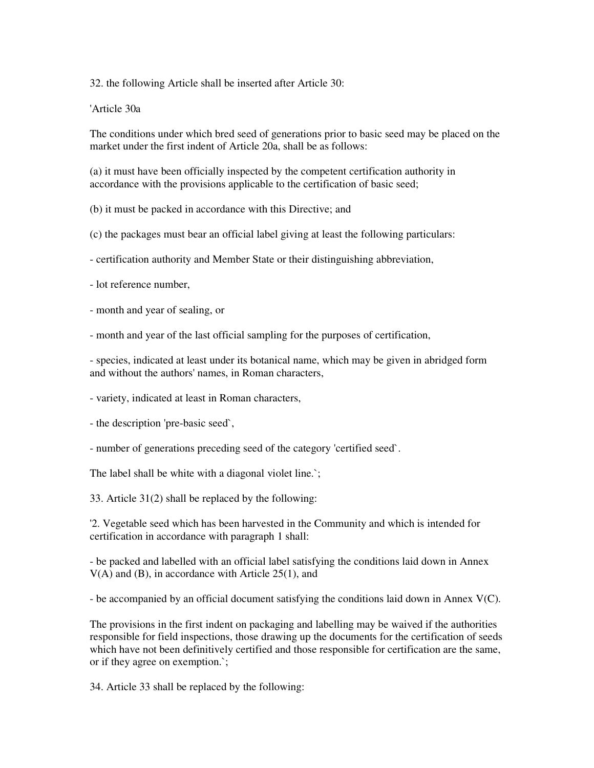32. the following Article shall be inserted after Article 30:

'Article 30a

The conditions under which bred seed of generations prior to basic seed may be placed on the market under the first indent of Article 20a, shall be as follows:

(a) it must have been officially inspected by the competent certification authority in accordance with the provisions applicable to the certification of basic seed;

(b) it must be packed in accordance with this Directive; and

(c) the packages must bear an official label giving at least the following particulars:

- certification authority and Member State or their distinguishing abbreviation,

- lot reference number,

- month and year of sealing, or

- month and year of the last official sampling for the purposes of certification,

- species, indicated at least under its botanical name, which may be given in abridged form and without the authors' names, in Roman characters,

- variety, indicated at least in Roman characters,

- the description 'pre-basic seed`,

- number of generations preceding seed of the category 'certified seed`.

The label shall be white with a diagonal violet line.`;

33. Article 31(2) shall be replaced by the following:

'2. Vegetable seed which has been harvested in the Community and which is intended for certification in accordance with paragraph 1 shall:

- be packed and labelled with an official label satisfying the conditions laid down in Annex V(A) and (B), in accordance with Article 25(1), and

- be accompanied by an official document satisfying the conditions laid down in Annex V(C).

The provisions in the first indent on packaging and labelling may be waived if the authorities responsible for field inspections, those drawing up the documents for the certification of seeds which have not been definitively certified and those responsible for certification are the same, or if they agree on exemption.`;

34. Article 33 shall be replaced by the following: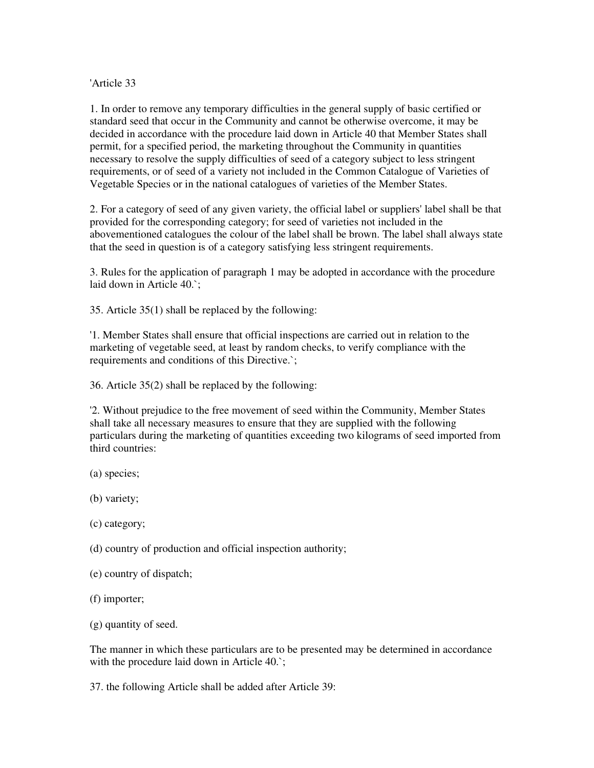'Article 33

1. In order to remove any temporary difficulties in the general supply of basic certified or standard seed that occur in the Community and cannot be otherwise overcome, it may be decided in accordance with the procedure laid down in Article 40 that Member States shall permit, for a specified period, the marketing throughout the Community in quantities necessary to resolve the supply difficulties of seed of a category subject to less stringent requirements, or of seed of a variety not included in the Common Catalogue of Varieties of Vegetable Species or in the national catalogues of varieties of the Member States.

2. For a category of seed of any given variety, the official label or suppliers' label shall be that provided for the corresponding category; for seed of varieties not included in the abovementioned catalogues the colour of the label shall be brown. The label shall always state that the seed in question is of a category satisfying less stringent requirements.

3. Rules for the application of paragraph 1 may be adopted in accordance with the procedure laid down in Article 40.`;

35. Article 35(1) shall be replaced by the following:

'1. Member States shall ensure that official inspections are carried out in relation to the marketing of vegetable seed, at least by random checks, to verify compliance with the requirements and conditions of this Directive.`;

36. Article 35(2) shall be replaced by the following:

'2. Without prejudice to the free movement of seed within the Community, Member States shall take all necessary measures to ensure that they are supplied with the following particulars during the marketing of quantities exceeding two kilograms of seed imported from third countries:

- (a) species;
- (b) variety;
- (c) category;
- (d) country of production and official inspection authority;
- (e) country of dispatch;
- (f) importer;
- (g) quantity of seed.

The manner in which these particulars are to be presented may be determined in accordance with the procedure laid down in Article 40.`;

37. the following Article shall be added after Article 39: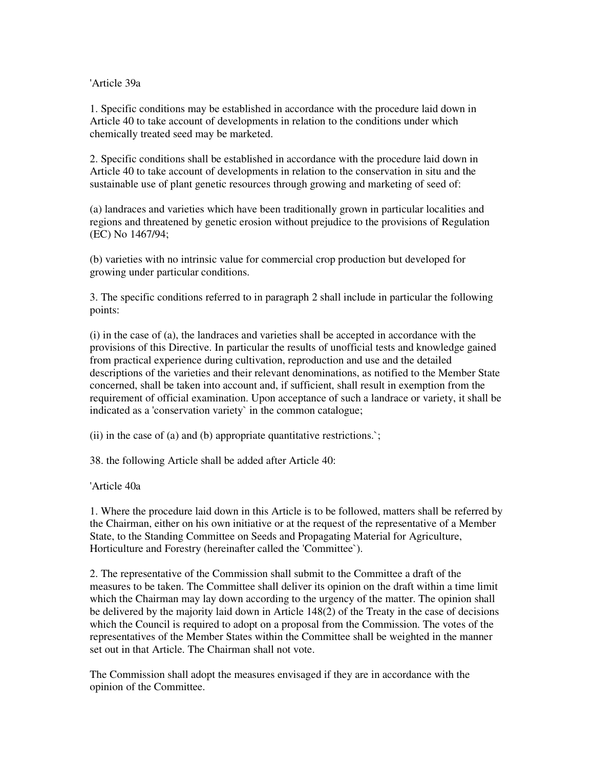'Article 39a

1. Specific conditions may be established in accordance with the procedure laid down in Article 40 to take account of developments in relation to the conditions under which chemically treated seed may be marketed.

2. Specific conditions shall be established in accordance with the procedure laid down in Article 40 to take account of developments in relation to the conservation in situ and the sustainable use of plant genetic resources through growing and marketing of seed of:

(a) landraces and varieties which have been traditionally grown in particular localities and regions and threatened by genetic erosion without prejudice to the provisions of Regulation (EC) No 1467/94;

(b) varieties with no intrinsic value for commercial crop production but developed for growing under particular conditions.

3. The specific conditions referred to in paragraph 2 shall include in particular the following points:

(i) in the case of (a), the landraces and varieties shall be accepted in accordance with the provisions of this Directive. In particular the results of unofficial tests and knowledge gained from practical experience during cultivation, reproduction and use and the detailed descriptions of the varieties and their relevant denominations, as notified to the Member State concerned, shall be taken into account and, if sufficient, shall result in exemption from the requirement of official examination. Upon acceptance of such a landrace or variety, it shall be indicated as a 'conservation variety` in the common catalogue;

(ii) in the case of (a) and (b) appropriate quantitative restrictions. $\cdot$ ;

38. the following Article shall be added after Article 40:

'Article 40a

1. Where the procedure laid down in this Article is to be followed, matters shall be referred by the Chairman, either on his own initiative or at the request of the representative of a Member State, to the Standing Committee on Seeds and Propagating Material for Agriculture, Horticulture and Forestry (hereinafter called the 'Committee`).

2. The representative of the Commission shall submit to the Committee a draft of the measures to be taken. The Committee shall deliver its opinion on the draft within a time limit which the Chairman may lay down according to the urgency of the matter. The opinion shall be delivered by the majority laid down in Article 148(2) of the Treaty in the case of decisions which the Council is required to adopt on a proposal from the Commission. The votes of the representatives of the Member States within the Committee shall be weighted in the manner set out in that Article. The Chairman shall not vote.

The Commission shall adopt the measures envisaged if they are in accordance with the opinion of the Committee.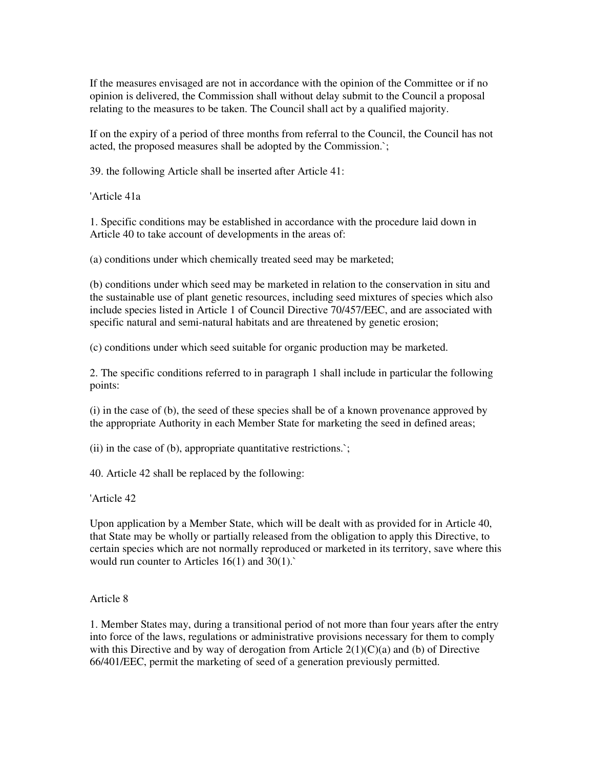If the measures envisaged are not in accordance with the opinion of the Committee or if no opinion is delivered, the Commission shall without delay submit to the Council a proposal relating to the measures to be taken. The Council shall act by a qualified majority.

If on the expiry of a period of three months from referral to the Council, the Council has not acted, the proposed measures shall be adopted by the Commission.`;

39. the following Article shall be inserted after Article 41:

'Article 41a

1. Specific conditions may be established in accordance with the procedure laid down in Article 40 to take account of developments in the areas of:

(a) conditions under which chemically treated seed may be marketed;

(b) conditions under which seed may be marketed in relation to the conservation in situ and the sustainable use of plant genetic resources, including seed mixtures of species which also include species listed in Article 1 of Council Directive 70/457/EEC, and are associated with specific natural and semi-natural habitats and are threatened by genetic erosion;

(c) conditions under which seed suitable for organic production may be marketed.

2. The specific conditions referred to in paragraph 1 shall include in particular the following points:

(i) in the case of (b), the seed of these species shall be of a known provenance approved by the appropriate Authority in each Member State for marketing the seed in defined areas;

(ii) in the case of (b), appropriate quantitative restrictions.`;

40. Article 42 shall be replaced by the following:

'Article 42

Upon application by a Member State, which will be dealt with as provided for in Article 40, that State may be wholly or partially released from the obligation to apply this Directive, to certain species which are not normally reproduced or marketed in its territory, save where this would run counter to Articles 16(1) and 30(1).`

#### Article 8

1. Member States may, during a transitional period of not more than four years after the entry into force of the laws, regulations or administrative provisions necessary for them to comply with this Directive and by way of derogation from Article  $2(1)(C)(a)$  and (b) of Directive 66/401/EEC, permit the marketing of seed of a generation previously permitted.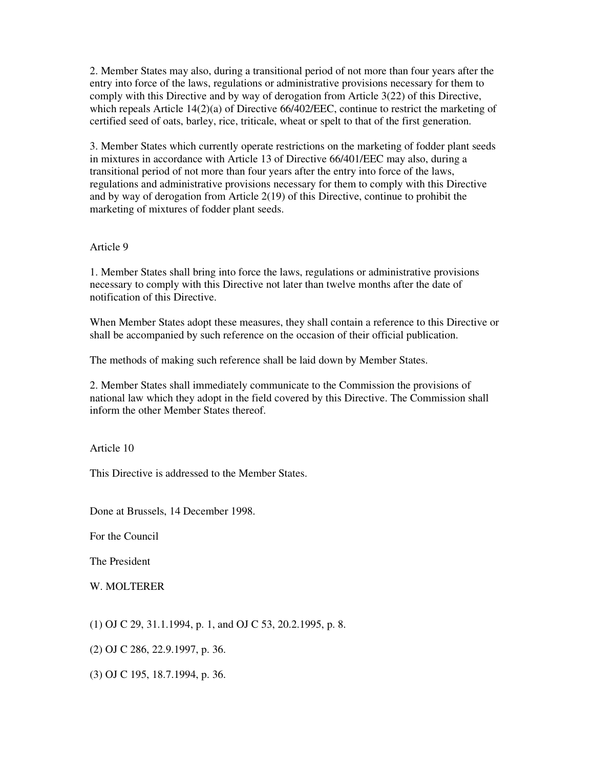2. Member States may also, during a transitional period of not more than four years after the entry into force of the laws, regulations or administrative provisions necessary for them to comply with this Directive and by way of derogation from Article 3(22) of this Directive, which repeals Article 14(2)(a) of Directive 66/402/EEC, continue to restrict the marketing of certified seed of oats, barley, rice, triticale, wheat or spelt to that of the first generation.

3. Member States which currently operate restrictions on the marketing of fodder plant seeds in mixtures in accordance with Article 13 of Directive 66/401/EEC may also, during a transitional period of not more than four years after the entry into force of the laws, regulations and administrative provisions necessary for them to comply with this Directive and by way of derogation from Article 2(19) of this Directive, continue to prohibit the marketing of mixtures of fodder plant seeds.

#### Article 9

1. Member States shall bring into force the laws, regulations or administrative provisions necessary to comply with this Directive not later than twelve months after the date of notification of this Directive.

When Member States adopt these measures, they shall contain a reference to this Directive or shall be accompanied by such reference on the occasion of their official publication.

The methods of making such reference shall be laid down by Member States.

2. Member States shall immediately communicate to the Commission the provisions of national law which they adopt in the field covered by this Directive. The Commission shall inform the other Member States thereof.

Article 10

This Directive is addressed to the Member States.

Done at Brussels, 14 December 1998.

For the Council

The President

W. MOLTERER

- (1) OJ C 29, 31.1.1994, p. 1, and OJ C 53, 20.2.1995, p. 8.
- (2) OJ C 286, 22.9.1997, p. 36.
- (3) OJ C 195, 18.7.1994, p. 36.